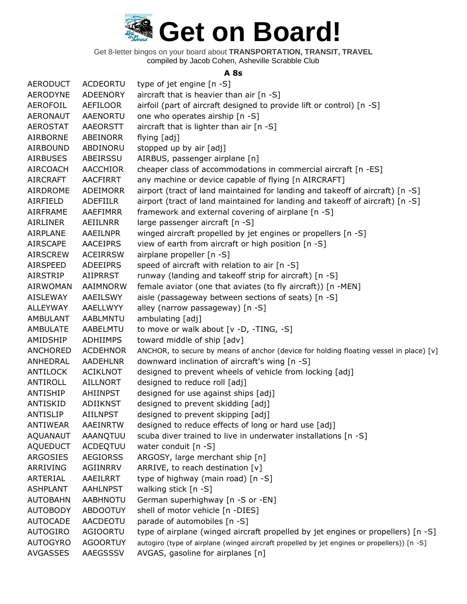

Get 8-letter bingos on your board about **TRANSPORTATION, TRANSIT, TRAVEL** compiled by Jacob Cohen, Asheville Scrabble Club

#### **A 8s**

| <b>AERODUCT</b> | ACDEORTU        | type of jet engine [n -S]                                                                   |
|-----------------|-----------------|---------------------------------------------------------------------------------------------|
| AERODYNE        | ADEENORY        | aircraft that is heavier than air [n -S]                                                    |
| AEROFOIL        | AEFILOOR        | airfoil (part of aircraft designed to provide lift or control) [n -S]                       |
| <b>AERONAUT</b> | AAENORTU        | one who operates airship [n -S]                                                             |
| <b>AEROSTAT</b> | <b>AAEORSTT</b> | aircraft that is lighter than air $[n -S]$                                                  |
| AIRBORNE        | ABEINORR        | flying [adj]                                                                                |
| AIRBOUND        | ABDINORU        | stopped up by air [adj]                                                                     |
| <b>AIRBUSES</b> | ABEIRSSU        | AIRBUS, passenger airplane [n]                                                              |
| <b>AIRCOACH</b> | <b>AACCHIOR</b> | cheaper class of accommodations in commercial aircraft [n -ES]                              |
| <b>AIRCRAFT</b> | <b>AACFIRRT</b> | any machine or device capable of flying [n AIRCRAFT]                                        |
| AIRDROME        | <b>ADEIMORR</b> | airport (tract of land maintained for landing and takeoff of aircraft) [n -S]               |
| AIRFIELD        | <b>ADEFIILR</b> | airport (tract of land maintained for landing and takeoff of aircraft) [n -S]               |
| AIRFRAME        | AAEFIMRR        | framework and external covering of airplane [n -S]                                          |
| AIRLINER        | AEIILNRR        | large passenger aircraft [n -S]                                                             |
| <b>AIRPLANE</b> | AAEILNPR        | winged aircraft propelled by jet engines or propellers [n -S]                               |
| <b>AIRSCAPE</b> | <b>AACEIPRS</b> | view of earth from aircraft or high position [n -S]                                         |
| <b>AIRSCREW</b> | <b>ACEIRRSW</b> | airplane propeller [n -S]                                                                   |
| <b>AIRSPEED</b> | <b>ADEEIPRS</b> | speed of aircraft with relation to air [n -S]                                               |
| <b>AIRSTRIP</b> | <b>AIIPRRST</b> | runway (landing and takeoff strip for aircraft) [n -S]                                      |
| <b>AIRWOMAN</b> | AAIMNORW        | female aviator (one that aviates (to fly aircraft)) [n -MEN]                                |
| <b>AISLEWAY</b> | AAEILSWY        | aisle (passageway between sections of seats) [n -S]                                         |
| ALLEYWAY        | AAELLWYY        | alley (narrow passageway) [n -S]                                                            |
| <b>AMBULANT</b> | <b>AABLMNTU</b> | ambulating [adj]                                                                            |
| <b>AMBULATE</b> | AABELMTU        | to move or walk about [v -D, -TING, -S]                                                     |
| AMIDSHIP        | <b>ADHIIMPS</b> | toward middle of ship [adv]                                                                 |
| ANCHORED        | <b>ACDEHNOR</b> | ANCHOR, to secure by means of anchor (device for holding floating vessel in place) [v]      |
| ANHEDRAL        | <b>AADEHLNR</b> | downward inclination of aircraft's wing [n -S]                                              |
| ANTILOCK        | <b>ACIKLNOT</b> | designed to prevent wheels of vehicle from locking [adj]                                    |
| <b>ANTIROLL</b> | AILLNORT        | designed to reduce roll [adj]                                                               |
| <b>ANTISHIP</b> | <b>AHIINPST</b> | designed for use against ships [adj]                                                        |
| ANTISKID        | ADIIKNST        | designed to prevent skidding [adj]                                                          |
| <b>ANTISLIP</b> | <b>AIILNPST</b> | designed to prevent skipping [adj]                                                          |
| ANTIWEAR        | AAEINRTW        | designed to reduce effects of long or hard use [adj]                                        |
| <b>AQUANAUT</b> | AAANQTUU        | scuba diver trained to live in underwater installations [n -S]                              |
| <b>AQUEDUCT</b> | ACDEQTUU        | water conduit $[n - S]$                                                                     |
| ARGOSIES        | <b>AEGIORSS</b> | ARGOSY, large merchant ship [n]                                                             |
| ARRIVING        | AGIINRRV        | ARRIVE, to reach destination [v]                                                            |
| ARTERIAL        | AAEILRRT        | type of highway (main road) [n -S]                                                          |
| <b>ASHPLANT</b> | <b>AAHLNPST</b> | walking stick [n -S]                                                                        |
| <b>AUTOBAHN</b> | <b>AABHNOTU</b> | German superhighway [n -S or -EN]                                                           |
| <b>AUTOBODY</b> | <b>ABDOOTUY</b> | shell of motor vehicle [n -DIES]                                                            |
| <b>AUTOCADE</b> | AACDEOTU        | parade of automobiles [n -S]                                                                |
| <b>AUTOGIRO</b> | <b>AGIOORTU</b> | type of airplane (winged aircraft propelled by jet engines or propellers) [n -S]            |
| <b>AUTOGYRO</b> | <b>AGOORTUY</b> | autogiro (type of airplane (winged aircraft propelled by jet engines or propellers)) [n -S] |
| <b>AVGASSES</b> | AAEGSSSV        | AVGAS, gasoline for airplanes [n]                                                           |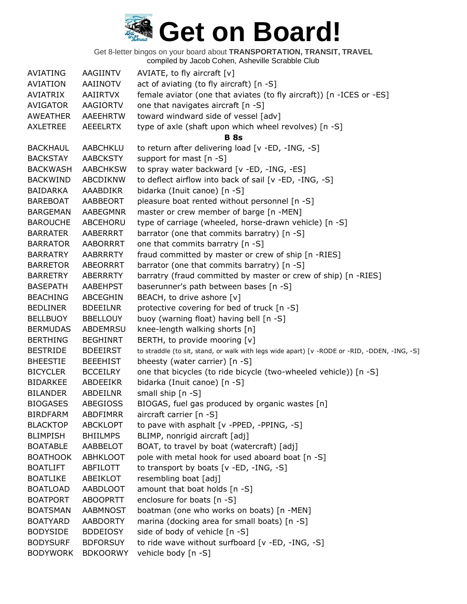Get 8-letter bingos on your board about **TRANSPORTATION, TRANSIT, TRAVEL** compiled by Jacob Cohen, Asheville Scrabble Club

AVIATING AAGIINTV AVIATE, to fly aircraft [v] AVIATION AAIINOTV act of aviating (to fly aircraft) [n -S] AVIATRIX AAIIRTVX female aviator (one that aviates (to fly aircraft)) [n -ICES or -ES] AVIGATOR AAGIORTV one that navigates aircraft [n -S] AWEATHER AAEEHRTW toward windward side of vessel [adv] AXLETREE AEEELRTX type of axle (shaft upon which wheel revolves) [n -S] **B 8s** BACKHAUL AABCHKLU to return after delivering load [v -ED, -ING, -S] BACKSTAY AABCKSTY support for mast [n -S] BACKWASH AABCHKSW to spray water backward [v -ED, -ING, -ES] BACKWIND ABCDIKNW to deflect airflow into back of sail [v -ED, -ING, -S] BAIDARKA AAABDIKR bidarka (Inuit canoe) [n -S] BAREBOAT AABBEORT pleasure boat rented without personnel [n -S] BARGEMAN AABEGMNR master or crew member of barge [n -MEN] BAROUCHE ABCEHORU type of carriage (wheeled, horse-drawn vehicle) [n -S] BARRATER AABERRRT barrator (one that commits barratry) [n -S] BARRATOR AABORRRT one that commits barratry [n -S] BARRATRY AABRRRTY fraud committed by master or crew of ship [n -RIES] BARRETOR ABEORRRT barrator (one that commits barratry) [n -S] BARRETRY ABERRRTY barratry (fraud committed by master or crew of ship) [n -RIES] BASEPATH AABEHPST baserunner's path between bases [n -S] BEACHING ABCEGHIN BEACH, to drive ashore [v] BEDLINER BDEEILNR protective covering for bed of truck [n -S] BELLBUOY BBELLOUY buoy (warning float) having bell [n -S] BERMUDAS ABDEMRSU knee-length walking shorts [n] BERTHING BEGHINRT BERTH, to provide mooring [v] BESTRIDE BDEEIRST to straddle (to sit, stand, or walk with legs wide apart) [v -RODE or -RID, -DDEN, -ING, -S] BHEESTIE BEEEHIST bheesty (water carrier) [n -S] BICYCLER BCCEILRY one that bicycles (to ride bicycle (two-wheeled vehicle)) [n -S] BIDARKEE ABDEEIKR bidarka (Inuit canoe) [n -S] BILANDER ABDEILNR small ship [n -S] BIOGASES ABEGIOSS BIOGAS, fuel gas produced by organic wastes [n] BIRDFARM ABDFIMRR aircraft carrier [n -S] BLACKTOP ABCKLOPT to pave with asphalt [v -PPED, -PPING, -S] BLIMPISH BHIILMPS BLIMP, nonrigid aircraft [adj] BOATABLE AABBELOT BOAT, to travel by boat (watercraft) [adj] BOATHOOK ABHKLOOT pole with metal hook for used aboard boat [n -S] BOATLIFT ABFILOTT to transport by boats [v -ED, -ING, -S] BOATLIKE ABEIKLOT resembling boat [adj] BOATLOAD AABDLOOT amount that boat holds [n -S] BOATPORT ABOOPRTT enclosure for boats [n -S] BOATSMAN AABMNOST boatman (one who works on boats) [n -MEN] BOATYARD AABDORTY marina (docking area for small boats) [n -S] BODYSIDE BDDEIOSY side of body of vehicle [n -S] BODYSURF BDFORSUY to ride wave without surfboard [v -ED, -ING, -S] BODYWORK BDKOORWY vehicle body [n -S]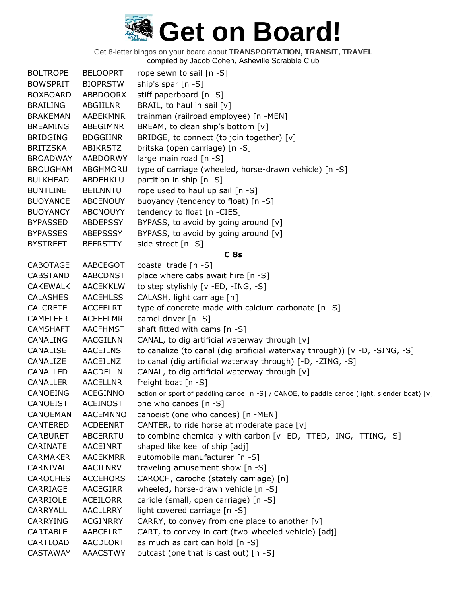| <b>BOLTROPE</b> | <b>BELOOPRT</b> | rope sewn to sail [n -S]                                                                    |
|-----------------|-----------------|---------------------------------------------------------------------------------------------|
| <b>BOWSPRIT</b> | <b>BIOPRSTW</b> | ship's spar [n -S]                                                                          |
| <b>BOXBOARD</b> | ABBDOORX        | stiff paperboard [n -S]                                                                     |
| <b>BRAILING</b> | ABGIILNR        | BRAIL, to haul in sail [v]                                                                  |
| <b>BRAKEMAN</b> | AABEKMNR        | trainman (railroad employee) [n -MEN]                                                       |
| <b>BREAMING</b> | ABEGIMNR        | BREAM, to clean ship's bottom [v]                                                           |
| <b>BRIDGING</b> | <b>BDGGIINR</b> | BRIDGE, to connect (to join together) [v]                                                   |
| <b>BRITZSKA</b> | <b>ABIKRSTZ</b> | britska (open carriage) [n -S]                                                              |
| <b>BROADWAY</b> | AABDORWY        | large main road [n -S]                                                                      |
| <b>BROUGHAM</b> | ABGHMORU        | type of carriage (wheeled, horse-drawn vehicle) [n -S]                                      |
| <b>BULKHEAD</b> | ABDEHKLU        | partition in ship [n -S]                                                                    |
| <b>BUNTLINE</b> | <b>BEILNNTU</b> | rope used to haul up sail [n -S]                                                            |
| <b>BUOYANCE</b> | ABCENOUY        | buoyancy (tendency to float) [n -S]                                                         |
| <b>BUOYANCY</b> | <b>ABCNOUYY</b> | tendency to float [n -CIES]                                                                 |
| <b>BYPASSED</b> | <b>ABDEPSSY</b> | BYPASS, to avoid by going around [v]                                                        |
| <b>BYPASSES</b> | <b>ABEPSSSY</b> | BYPASS, to avoid by going around [v]                                                        |
| <b>BYSTREET</b> | <b>BEERSTTY</b> | side street [n -S]                                                                          |
|                 |                 | C <sub>8s</sub>                                                                             |
| <b>CABOTAGE</b> | AABCEGOT        | coastal trade [n -S]                                                                        |
| <b>CABSTAND</b> | <b>AABCDNST</b> | place where cabs await hire [n -S]                                                          |
| <b>CAKEWALK</b> | <b>AACEKKLW</b> | to step stylishly [v -ED, -ING, -S]                                                         |
| <b>CALASHES</b> | <b>AACEHLSS</b> | CALASH, light carriage [n]                                                                  |
| <b>CALCRETE</b> | <b>ACCEELRT</b> | type of concrete made with calcium carbonate [n -S]                                         |
| <b>CAMELEER</b> | <b>ACEEELMR</b> | camel driver $[n - S]$                                                                      |
| <b>CAMSHAFT</b> | <b>AACFHMST</b> | shaft fitted with cams [n -S]                                                               |
| CANALING        | AACGILNN        | CANAL, to dig artificial waterway through [v]                                               |
| CANALISE        | <b>AACEILNS</b> | to canalize (to canal (dig artificial waterway through)) [v -D, -SING, -S]                  |
| CANALIZE        | AACEILNZ        | to canal (dig artificial waterway through) [-D, -ZING, -S]                                  |
| CANALLED        | <b>AACDELLN</b> | CANAL, to dig artificial waterway through [v]                                               |
| <b>CANALLER</b> | <b>AACELLNR</b> | freight boat [n -S]                                                                         |
| CANOEING        | ACEGINNO        | action or sport of paddling canoe [n -S] / CANOE, to paddle canoe (light, slender boat) [v] |
| CANOEIST        | <b>ACEINOST</b> | one who canoes [n -S]                                                                       |
| CANOEMAN        | <b>AACEMNNO</b> | canoeist (one who canoes) [n -MEN]                                                          |
| CANTERED        | <b>ACDEENRT</b> | CANTER, to ride horse at moderate pace [v]                                                  |
| <b>CARBURET</b> | ABCERRTU        | to combine chemically with carbon [v -ED, -TTED, -ING, -TTING, -S]                          |
| CARINATE        | AACEINRT        | shaped like keel of ship [adj]                                                              |
| <b>CARMAKER</b> | <b>AACEKMRR</b> | automobile manufacturer [n -S]                                                              |
| CARNIVAL        | <b>AACILNRV</b> | traveling amusement show [n -S]                                                             |
| <b>CAROCHES</b> | <b>ACCEHORS</b> | CAROCH, caroche (stately carriage) [n]                                                      |
| CARRIAGE        | AACEGIRR        | wheeled, horse-drawn vehicle [n -S]                                                         |
| CARRIOLE        | <b>ACEILORR</b> | cariole (small, open carriage) [n -S]                                                       |
| CARRYALL        | <b>AACLLRRY</b> | light covered carriage [n -S]                                                               |
| <b>CARRYING</b> | <b>ACGINRRY</b> | CARRY, to convey from one place to another [v]                                              |
| CARTABLE        | <b>AABCELRT</b> | CART, to convey in cart (two-wheeled vehicle) [adj]                                         |
| <b>CARTLOAD</b> | AACDLORT        | as much as cart can hold [n -S]                                                             |
| <b>CASTAWAY</b> | <b>AAACSTWY</b> | outcast (one that is cast out) [n -S]                                                       |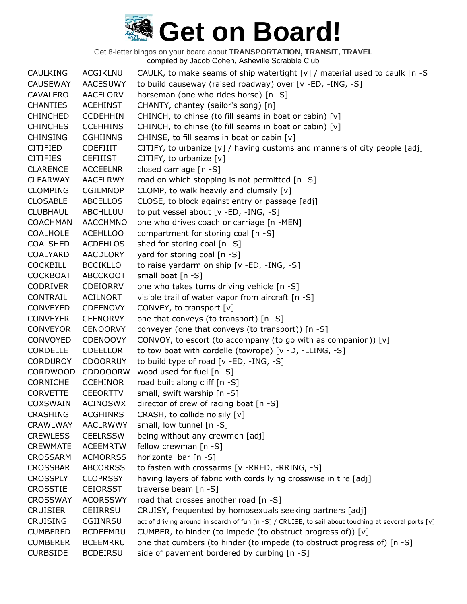Get 8-letter bingos on your board about **TRANSPORTATION, TRANSIT, TRAVEL** compiled by Jacob Cohen, Asheville Scrabble Club

CAULKING ACGIKLNU CAULK, to make seams of ship watertight [v] / material used to caulk [n -S] CAUSEWAY AACESUWY to build causeway (raised roadway) over [v -ED, -ING, -S] CAVALERO AACELORV horseman (one who rides horse) [n -S] CHANTIES ACEHINST CHANTY, chantey (sailor's song) [n] CHINCHED CCDEHHIN CHINCH, to chinse (to fill seams in boat or cabin)  $[v]$ CHINCHES CCEHHINS CHINCH, to chinse (to fill seams in boat or cabin)  $[v]$ CHINSING CGHIINNS CHINSE, to fill seams in boat or cabin [v] CITIFIED CDEFIIIT CITIFY, to urbanize [v] / having customs and manners of city people [adj] CITIFIES CEFIIIST CITIFY, to urbanize [v] CLARENCE ACCEELNR closed carriage [n -S] CLEARWAY AACELRWY road on which stopping is not permitted [n -S] CLOMPING CGILMNOP CLOMP, to walk heavily and clumsily [v] CLOSABLE ABCELLOS CLOSE, to block against entry or passage [adj] CLUBHAUL ABCHLLUU to put vessel about [v -ED, -ING, -S] COACHMAN AACCHMNO one who drives coach or carriage [n -MEN] COALHOLE ACEHLLOO compartment for storing coal [n -S] COALSHED ACDEHLOS shed for storing coal [n -S] COALYARD AACDLORY yard for storing coal [n -S] COCKBILL BCCIKLLO to raise yardarm on ship [v -ED, -ING, -S] COCKBOAT ABCCKOOT small boat [n -S] CODRIVER CDEIORRV one who takes turns driving vehicle [n -S] CONTRAIL ACILNORT visible trail of water vapor from aircraft [n -S] CONVEYED CDEENOVY CONVEY, to transport [v] CONVEYER CEENORVY one that conveys (to transport) [n -S] CONVEYOR CENOORVY conveyer (one that conveys (to transport)) [n -S] CONVOYED CDENOOVY CONVOY, to escort (to accompany (to go with as companion)) [v] CORDELLE CDEELLOR to tow boat with cordelle (towrope) [v -D, -LLING, -S] CORDUROY CDOORRUY to build type of road [v -ED, -ING, -S] CORDWOOD CDDOOORW wood used for fuel [n -S] CORNICHE CCEHINOR road built along cliff [n -S] CORVETTE CEEORTTV small, swift warship [n -S] COXSWAIN ACINOSWX director of crew of racing boat [n -S] CRASHING ACGHINRS CRASH, to collide noisily [v] CRAWLWAY AACLRWWY small, low tunnel [n -S] CREWLESS CEELRSSW being without any crewmen [adj] CREWMATE ACEEMRTW fellow crewman [n -S] CROSSARM ACMORRSS horizontal bar [n -S] CROSSBAR ABCORRSS to fasten with crossarms [v -RRED, -RRING, -S] CROSSPLY CLOPRSSY having layers of fabric with cords lying crosswise in tire [adj] CROSSTIE CEIORSST traverse beam [n -S] CROSSWAY ACORSSWY road that crosses another road [n -S] CRUISIER CEIIRRSU CRUISY, frequented by homosexuals seeking partners [adj] CRUISING CGIINRSU act of driving around in search of fun [n -S] / CRUISE, to sail about touching at several ports [v] CUMBERED BCDEEMRU CUMBER, to hinder (to impede (to obstruct progress of))  $[v]$ CUMBERER BCEEMRRU one that cumbers (to hinder (to impede (to obstruct progress of) [n -S] CURBSIDE BCDEIRSU side of pavement bordered by curbing [n -S]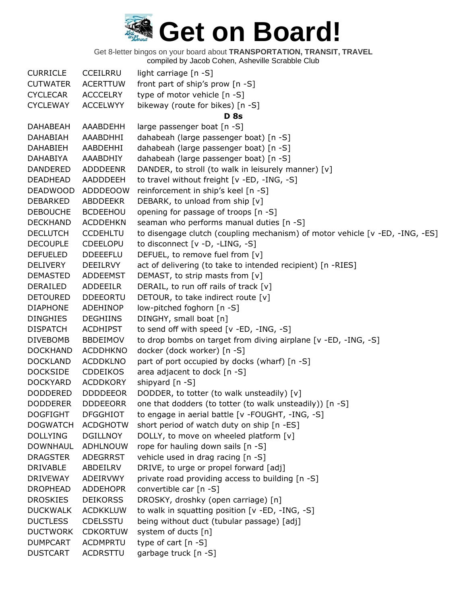Get 8-letter bingos on your board about **TRANSPORTATION, TRANSIT, TRAVEL** compiled by Jacob Cohen, Asheville Scrabble Club

CURRICLE CCEILRRU light carriage [n -S] CUTWATER ACERTTUW front part of ship's prow [n -S] CYCLECAR ACCCELRY type of motor vehicle [n -S] CYCLEWAY ACCELWYY bikeway (route for bikes) [n -S] **D 8s** DAHABEAH AAABDEHH large passenger boat [n -S] DAHABIAH AAABDHHI dahabeah (large passenger boat) [n -S] DAHABIEH AABDEHHI dahabeah (large passenger boat) [n -S] DAHABIYA AAABDHIY dahabeah (large passenger boat) [n -S] DANDERED ADDDEENR DANDER, to stroll (to walk in leisurely manner) [v] DEADHEAD AADDDEEH to travel without freight [v -ED, -ING, -S] DEADWOOD ADDDEOOW reinforcement in ship's keel [n -S] DEBARKED ABDDEEKR DEBARK, to unload from ship [v] DEBOUCHE BCDEEHOU opening for passage of troops [n -S] DECKHAND ACDDEHKN seaman who performs manual duties [n -S] DECLUTCH CCDEHLTU to disengage clutch (coupling mechanism) of motor vehicle [v -ED, -ING, -ES] DECOUPLE CDEELOPU to disconnect [v -D, -LING, -S] DEFUELED DDEEEFLU DEFUEL, to remove fuel from [v] DELIVERY DEEILRVY act of delivering (to take to intended recipient) [n -RIES] DEMASTED ADDEEMST DEMAST, to strip masts from [v] DERAILED ADDEEILR DERAIL, to run off rails of track [v] DETOURED DDEEORTU DETOUR, to take indirect route [v] DIAPHONE ADEHINOP low-pitched foghorn [n -S] DINGHIES DEGHIINS DINGHY, small boat [n] DISPATCH ACDHIPST to send off with speed [v -ED, -ING, -S] DIVEBOMB BBDEIMOV to drop bombs on target from diving airplane [v -ED, -ING, -S] DOCKHAND ACDDHKNO docker (dock worker) [n -S] DOCKLAND ACDDKLNO part of port occupied by docks (wharf) [n -S] DOCKSIDE CDDEIKOS area adjacent to dock [n -S] DOCKYARD ACDDKORY shipyard [n -S] DODDERED DDDDEEOR DODDER, to totter (to walk unsteadily) [v] DODDERER DDDEEORR one that dodders (to totter (to walk unsteadily)) [n -S] DOGFIGHT DFGGHIOT to engage in aerial battle [v -FOUGHT, -ING, -S] DOGWATCH ACDGHOTW short period of watch duty on ship [n -ES] DOLLYING DGILLNOY DOLLY, to move on wheeled platform [v] DOWNHAUL ADHLNOUW rope for hauling down sails [n -S] DRAGSTER ADEGRRST vehicle used in drag racing [n -S] DRIVABLE ABDEILRV DRIVE, to urge or propel forward [adj] DRIVEWAY ADEIRVWY private road providing access to building [n -S] DROPHEAD ADDEHOPR convertible car [n -S] DROSKIES DEIKORSS DROSKY, droshky (open carriage) [n] DUCKWALK ACDKKLUW to walk in squatting position [v -ED, -ING, -S] DUCTLESS CDELSSTU being without duct (tubular passage) [adj] DUCTWORK CDKORTUW system of ducts [n] DUMPCART ACDMPRTU type of cart [n -S] DUSTCART ACDRSTTU garbage truck [n -S]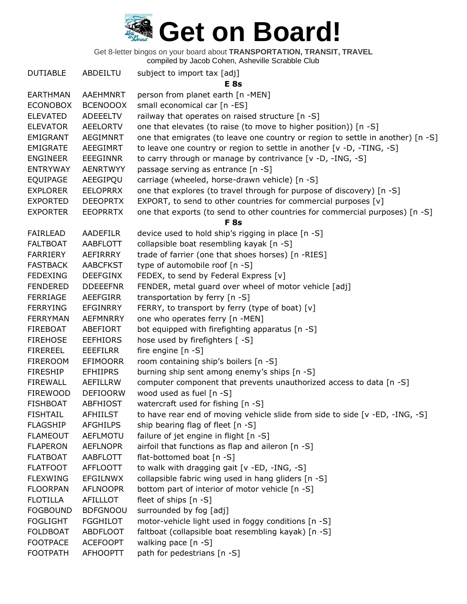

Get 8-letter bingos on your board about **TRANSPORTATION, TRANSIT, TRAVEL**

compiled by Jacob Cohen, Asheville Scrabble Club

| <b>DUTIABLE</b> | ABDEILTU        | subject to import tax [adj]                                                     |
|-----------------|-----------------|---------------------------------------------------------------------------------|
|                 |                 | E <sub>8s</sub>                                                                 |
| <b>EARTHMAN</b> | AAEHMNRT        | person from planet earth [n -MEN]                                               |
| <b>ECONOBOX</b> | <b>BCENOOOX</b> | small economical car [n -ES]                                                    |
| <b>ELEVATED</b> | <b>ADEEELTV</b> | railway that operates on raised structure [n -S]                                |
| <b>ELEVATOR</b> | <b>AEELORTV</b> | one that elevates (to raise (to move to higher position)) [n -S]                |
| EMIGRANT        | <b>AEGIMNRT</b> | one that emigrates (to leave one country or region to settle in another) [n -S] |
| <b>EMIGRATE</b> | AEEGIMRT        | to leave one country or region to settle in another [v -D, -TING, -S]           |
| <b>ENGINEER</b> | <b>EEEGINNR</b> | to carry through or manage by contrivance [v -D, -ING, -S]                      |
| <b>ENTRYWAY</b> | <b>AENRTWYY</b> | passage serving as entrance [n -S]                                              |
| <b>EQUIPAGE</b> | AEEGIPQU        | carriage (wheeled, horse-drawn vehicle) [n -S]                                  |
| <b>EXPLORER</b> | <b>EELOPRRX</b> | one that explores (to travel through for purpose of discovery) [n -S]           |
| <b>EXPORTED</b> | <b>DEEOPRTX</b> | EXPORT, to send to other countries for commercial purposes [v]                  |
| <b>EXPORTER</b> | <b>EEOPRRTX</b> | one that exports (to send to other countries for commercial purposes) [n -S]    |
|                 |                 | <b>F</b> 8s                                                                     |
| <b>FAIRLEAD</b> | <b>AADEFILR</b> | device used to hold ship's rigging in place [n -S]                              |
| <b>FALTBOAT</b> | AABFLOTT        | collapsible boat resembling kayak [n -S]                                        |
| <b>FARRIERY</b> | AEFIRRRY        | trade of farrier (one that shoes horses) [n -RIES]                              |
| <b>FASTBACK</b> | <b>AABCFKST</b> | type of automobile roof [n -S]                                                  |
| <b>FEDEXING</b> | <b>DEEFGINX</b> | FEDEX, to send by Federal Express [v]                                           |
| <b>FENDERED</b> | <b>DDEEEFNR</b> | FENDER, metal guard over wheel of motor vehicle [adj]                           |
| <b>FERRIAGE</b> | <b>AEEFGIRR</b> | transportation by ferry [n -S]                                                  |
| <b>FERRYING</b> | <b>EFGINRRY</b> | FERRY, to transport by ferry (type of boat) [v]                                 |
| <b>FERRYMAN</b> | <b>AEFMNRRY</b> | one who operates ferry [n -MEN]                                                 |
| <b>FIREBOAT</b> | ABEFIORT        | bot equipped with firefighting apparatus [n -S]                                 |
| <b>FIREHOSE</b> | <b>EEFHIORS</b> | hose used by firefighters [-S]                                                  |
| <b>FIREREEL</b> | <b>EEEFILRR</b> | fire engine $[n -S]$                                                            |
| <b>FIREROOM</b> | <b>EFIMOORR</b> | room containing ship's boilers [n -S]                                           |
| <b>FIRESHIP</b> | <b>EFHIIPRS</b> | burning ship sent among enemy's ships [n -S]                                    |
| <b>FIREWALL</b> | AEFILLRW        | computer component that prevents unauthorized access to data [n -S]             |
| <b>FIREWOOD</b> | <b>DEFIOORW</b> | wood used as fuel [n -S]                                                        |
| <b>FISHBOAT</b> | <b>ABFHIOST</b> | watercraft used for fishing [n -S]                                              |
| <b>FISHTAIL</b> | <b>AFHIILST</b> | to have rear end of moving vehicle slide from side to side [v -ED, -ING, -S]    |
| <b>FLAGSHIP</b> | <b>AFGHILPS</b> | ship bearing flag of fleet [n -S]                                               |
| <b>FLAMEOUT</b> | <b>AEFLMOTU</b> | failure of jet engine in flight [n -S]                                          |
| <b>FLAPERON</b> | <b>AEFLNOPR</b> | airfoil that functions as flap and aileron [n -S]                               |
| <b>FLATBOAT</b> | AABFLOTT        | flat-bottomed boat [n -S]                                                       |
| <b>FLATFOOT</b> | <b>AFFLOOTT</b> | to walk with dragging gait [v -ED, -ING, -S]                                    |
| <b>FLEXWING</b> | <b>EFGILNWX</b> | collapsible fabric wing used in hang gliders [n -S]                             |
| <b>FLOORPAN</b> | <b>AFLNOOPR</b> | bottom part of interior of motor vehicle [n -S]                                 |
| <b>FLOTILLA</b> | AFILLLOT        | fleet of ships $[n -S]$                                                         |
| <b>FOGBOUND</b> | <b>BDFGNOOU</b> | surrounded by fog [adj]                                                         |
| <b>FOGLIGHT</b> | <b>FGGHILOT</b> | motor-vehicle light used in foggy conditions [n -S]                             |
| <b>FOLDBOAT</b> | <b>ABDFLOOT</b> | faltboat (collapsible boat resembling kayak) [n -S]                             |
| <b>FOOTPACE</b> | <b>ACEFOOPT</b> | walking pace [n -S]                                                             |
| <b>FOOTPATH</b> | <b>AFHOOPTT</b> | path for pedestrians [n -S]                                                     |
|                 |                 |                                                                                 |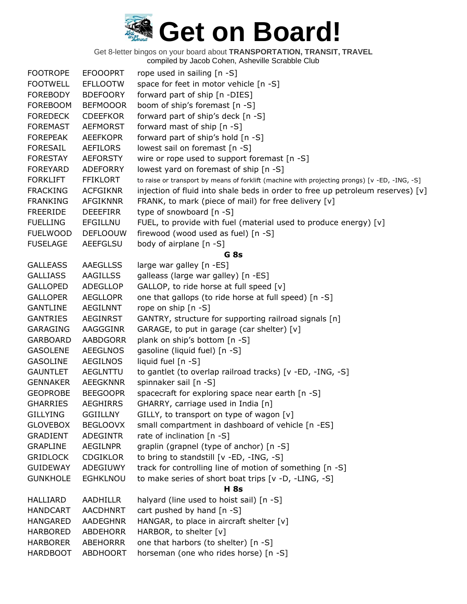Get 8-letter bingos on your board about **TRANSPORTATION, TRANSIT, TRAVEL**

compiled by Jacob Cohen, Asheville Scrabble Club

| <b>FOOTROPE</b> | <b>EFOOOPRT</b> | rope used in sailing [n -S]                                                                   |
|-----------------|-----------------|-----------------------------------------------------------------------------------------------|
| <b>FOOTWELL</b> | <b>EFLLOOTW</b> | space for feet in motor vehicle [n -S]                                                        |
| <b>FOREBODY</b> | <b>BDEFOORY</b> | forward part of ship [n -DIES]                                                                |
| <b>FOREBOOM</b> | <b>BEFMOOOR</b> | boom of ship's foremast [n -S]                                                                |
| <b>FOREDECK</b> | <b>CDEEFKOR</b> | forward part of ship's deck [n -S]                                                            |
| <b>FOREMAST</b> | <b>AEFMORST</b> | forward mast of ship [n -S]                                                                   |
| <b>FOREPEAK</b> | <b>AEEFKOPR</b> | forward part of ship's hold [n -S]                                                            |
| <b>FORESAIL</b> | <b>AEFILORS</b> | lowest sail on foremast [n -S]                                                                |
| <b>FORESTAY</b> | <b>AEFORSTY</b> | wire or rope used to support foremast [n -S]                                                  |
| <b>FOREYARD</b> | <b>ADEFORRY</b> | lowest yard on foremast of ship [n -S]                                                        |
| <b>FORKLIFT</b> | <b>FFIKLORT</b> | to raise or transport by means of forklift (machine with projecting prongs) [v -ED, -ING, -S] |
| <b>FRACKING</b> | <b>ACFGIKNR</b> | injection of fluid into shale beds in order to free up petroleum reserves) [v]                |
| <b>FRANKING</b> | <b>AFGIKNNR</b> | FRANK, to mark (piece of mail) for free delivery [v]                                          |
| <b>FREERIDE</b> | <b>DEEEFIRR</b> | type of snowboard [n -S]                                                                      |
| <b>FUELLING</b> | <b>EFGILLNU</b> | FUEL, to provide with fuel (material used to produce energy) [v]                              |
| <b>FUELWOOD</b> | <b>DEFLOOUW</b> | firewood (wood used as fuel) [n -S]                                                           |
| <b>FUSELAGE</b> | <b>AEEFGLSU</b> | body of airplane [n -S]                                                                       |
|                 |                 | G <sub>8s</sub>                                                                               |
| <b>GALLEASS</b> | <b>AAEGLLSS</b> | large war galley [n -ES]                                                                      |
| <b>GALLIASS</b> | <b>AAGILLSS</b> | galleass (large war galley) [n -ES]                                                           |
| <b>GALLOPED</b> | <b>ADEGLLOP</b> | GALLOP, to ride horse at full speed [v]                                                       |
| <b>GALLOPER</b> | <b>AEGLLOPR</b> | one that gallops (to ride horse at full speed) [n -S]                                         |
| <b>GANTLINE</b> | <b>AEGILNNT</b> | rope on ship $[n - S]$                                                                        |
| <b>GANTRIES</b> | <b>AEGINRST</b> | GANTRY, structure for supporting railroad signals [n]                                         |
| <b>GARAGING</b> | AAGGGINR        | GARAGE, to put in garage (car shelter) [v]                                                    |
| <b>GARBOARD</b> | AABDGORR        | plank on ship's bottom [n -S]                                                                 |
| <b>GASOLENE</b> | <b>AEEGLNOS</b> | gasoline (liquid fuel) [n -S]                                                                 |
| <b>GASOLINE</b> | <b>AEGILNOS</b> | liquid fuel [n -S]                                                                            |
| <b>GAUNTLET</b> | AEGLNTTU        | to gantlet (to overlap railroad tracks) [v -ED, -ING, -S]                                     |
| <b>GENNAKER</b> | AEEGKNNR        | spinnaker sail [n -S]                                                                         |
| <b>GEOPROBE</b> | <b>BEEGOOPR</b> | spacecraft for exploring space near earth [n -S]                                              |
| <b>GHARRIES</b> | <b>AEGHIRRS</b> | GHARRY, carriage used in India [n]                                                            |
| <b>GILLYING</b> | <b>GGIILLNY</b> | GILLY, to transport on type of wagon [v]                                                      |
| <b>GLOVEBOX</b> | <b>BEGLOOVX</b> | small compartment in dashboard of vehicle [n -ES]                                             |
| <b>GRADIENT</b> | <b>ADEGINTR</b> | rate of inclination [n -S]                                                                    |
| <b>GRAPLINE</b> | <b>AEGILNPR</b> | graplin (grapnel (type of anchor) [n -S]                                                      |
| <b>GRIDLOCK</b> | <b>CDGIKLOR</b> | to bring to standstill [v -ED, -ING, -S]                                                      |
| <b>GUIDEWAY</b> | ADEGIUWY        | track for controlling line of motion of something [n -S]                                      |
| <b>GUNKHOLE</b> | <b>EGHKLNOU</b> | to make series of short boat trips [v -D, -LING, -S]                                          |
|                 |                 | <b>H</b> 8s                                                                                   |
| HALLIARD        | AADHILLR        | halyard (line used to hoist sail) [n -S]                                                      |
| <b>HANDCART</b> | <b>AACDHNRT</b> | cart pushed by hand [n -S]                                                                    |
| <b>HANGARED</b> | AADEGHNR        | HANGAR, to place in aircraft shelter [v]                                                      |
| <b>HARBORED</b> | <b>ABDEHORR</b> | HARBOR, to shelter [v]                                                                        |
| <b>HARBORER</b> | ABEHORRR        | one that harbors (to shelter) [n -S]                                                          |
| <b>HARDBOOT</b> | <b>ABDHOORT</b> | horseman (one who rides horse) [n -S]                                                         |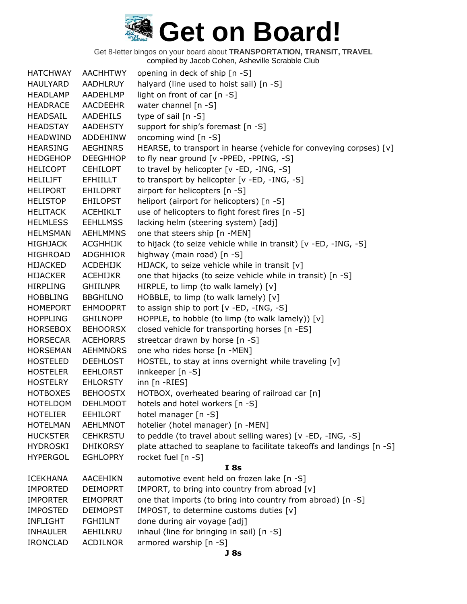| <b>HATCHWAY</b> | <b>AACHHTWY</b> | opening in deck of ship [n -S]                                        |
|-----------------|-----------------|-----------------------------------------------------------------------|
| HAULYARD        | <b>AADHLRUY</b> | halyard (line used to hoist sail) [n -S]                              |
| <b>HEADLAMP</b> | AADEHLMP        | light on front of car [n -S]                                          |
| <b>HEADRACE</b> | <b>AACDEEHR</b> | water channel [n -S]                                                  |
| HEADSAIL        | AADEHILS        | type of sail $[n -S]$                                                 |
| <b>HEADSTAY</b> | <b>AADEHSTY</b> | support for ship's foremast [n -S]                                    |
| <b>HEADWIND</b> | ADDEHINW        | oncoming wind [n -S]                                                  |
| <b>HEARSING</b> | <b>AEGHINRS</b> | HEARSE, to transport in hearse (vehicle for conveying corpses) [v]    |
| <b>HEDGEHOP</b> | <b>DEEGHHOP</b> | to fly near ground [v -PPED, -PPING, -S]                              |
| HELICOPT        | <b>CEHILOPT</b> | to travel by helicopter [v -ED, -ING, -S]                             |
| <b>HELILIFT</b> | EFHIILLT        | to transport by helicopter [v -ED, -ING, -S]                          |
| <b>HELIPORT</b> | <b>EHILOPRT</b> | airport for helicopters [n -S]                                        |
| <b>HELISTOP</b> | <b>EHILOPST</b> | heliport (airport for helicopters) [n -S]                             |
| <b>HELITACK</b> | <b>ACEHIKLT</b> | use of helicopters to fight forest fires [n -S]                       |
| <b>HELMLESS</b> | <b>EEHLLMSS</b> | lacking helm (steering system) [adj]                                  |
| <b>HELMSMAN</b> | <b>AEHLMMNS</b> | one that steers ship [n -MEN]                                         |
| <b>HIGHJACK</b> | <b>ACGHHIJK</b> | to hijack (to seize vehicle while in transit) [v -ED, -ING, -S]       |
| HIGHROAD        | <b>ADGHHIOR</b> | highway (main road) [n -S]                                            |
| HIJACKED        | <b>ACDEHIJK</b> | HIJACK, to seize vehicle while in transit [v]                         |
| <b>HIJACKER</b> | <b>ACEHIJKR</b> | one that hijacks (to seize vehicle while in transit) [n -S]           |
| <b>HIRPLING</b> | <b>GHIILNPR</b> | HIRPLE, to limp (to walk lamely) [v]                                  |
| <b>HOBBLING</b> | <b>BBGHILNO</b> | HOBBLE, to limp (to walk lamely) [v]                                  |
| <b>HOMEPORT</b> | <b>EHMOOPRT</b> | to assign ship to port [v -ED, -ING, -S]                              |
| <b>HOPPLING</b> | <b>GHILNOPP</b> | HOPPLE, to hobble (to limp (to walk lamely)) [v]                      |
| <b>HORSEBOX</b> | <b>BEHOORSX</b> | closed vehicle for transporting horses [n -ES]                        |
| <b>HORSECAR</b> | <b>ACEHORRS</b> | streetcar drawn by horse [n -S]                                       |
| <b>HORSEMAN</b> | <b>AEHMNORS</b> | one who rides horse [n -MEN]                                          |
| <b>HOSTELED</b> | <b>DEEHLOST</b> | HOSTEL, to stay at inns overnight while traveling [v]                 |
| <b>HOSTELER</b> | <b>EEHLORST</b> | innkeeper [n -S]                                                      |
| <b>HOSTELRY</b> | <b>EHLORSTY</b> | inn [n -RIES]                                                         |
| <b>HOTBOXES</b> | <b>BEHOOSTX</b> | HOTBOX, overheated bearing of railroad car [n]                        |
| <b>HOTELDOM</b> | <b>DEHLMOOT</b> | hotels and hotel workers [n -S]                                       |
| <b>HOTELIER</b> | <b>EEHILORT</b> | hotel manager [n -S]                                                  |
| <b>HOTELMAN</b> | <b>AEHLMNOT</b> | hotelier (hotel manager) [n -MEN]                                     |
| <b>HUCKSTER</b> | <b>CEHKRSTU</b> | to peddle (to travel about selling wares) [v -ED, -ING, -S]           |
| <b>HYDROSKI</b> | <b>DHIKORSY</b> | plate attached to seaplane to facilitate takeoffs and landings [n -S] |
| <b>HYPERGOL</b> | <b>EGHLOPRY</b> | rocket fuel [n -S]                                                    |
|                 |                 | I8s                                                                   |
| <b>ICEKHANA</b> | AACEHIKN        | automotive event held on frozen lake [n -S]                           |
| <b>IMPORTED</b> | <b>DEIMOPRT</b> | IMPORT, to bring into country from abroad [v]                         |
| <b>IMPORTER</b> | <b>EIMOPRRT</b> | one that imports (to bring into country from abroad) [n -S]           |
| <b>IMPOSTED</b> | <b>DEIMOPST</b> | IMPOST, to determine customs duties [v]                               |
| <b>INFLIGHT</b> | <b>FGHIILNT</b> | done during air voyage [adj]                                          |
| <b>INHAULER</b> | AEHILNRU        | inhaul (line for bringing in sail) [n -S]                             |
| <b>IRONCLAD</b> | <b>ACDILNOR</b> | armored warship [n -S]                                                |
|                 |                 | J <sub>8s</sub>                                                       |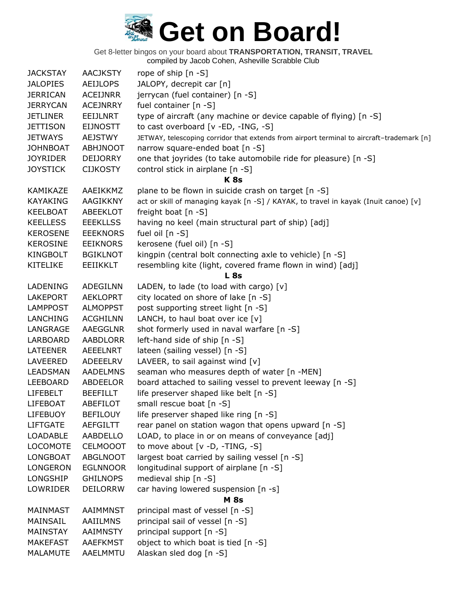Get 8-letter bingos on your board about **TRANSPORTATION, TRANSIT, TRAVEL**

compiled by Jacob Cohen, Asheville Scrabble Club

| <b>JACKSTAY</b> | <b>AACJKSTY</b>             | rope of ship [n -S]                                                                       |
|-----------------|-----------------------------|-------------------------------------------------------------------------------------------|
| <b>JALOPIES</b> | <b>AEIJLOPS</b>             | JALOPY, decrepit car [n]                                                                  |
| <b>JERRICAN</b> | <b>ACEIJNRR</b>             | jerrycan (fuel container) [n -S]                                                          |
| <b>JERRYCAN</b> | <b>ACEJNRRY</b>             | fuel container [n -S]                                                                     |
| <b>JETLINER</b> | <b>EEIJLNRT</b>             | type of aircraft (any machine or device capable of flying) [n -S]                         |
| <b>JETTISON</b> | <b>EIJNOSTT</b>             | to cast overboard [v -ED, -ING, -S]                                                       |
| <b>JETWAYS</b>  | <b>AEJSTWY</b>              | JETWAY, telescoping corridor that extends from airport terminal to aircraft-trademark [n] |
| <b>JOHNBOAT</b> | <b>ABHJNOOT</b>             | narrow square-ended boat [n -S]                                                           |
| <b>JOYRIDER</b> | <b>DEIJORRY</b>             | one that joyrides (to take automobile ride for pleasure) [n -S]                           |
| <b>JOYSTICK</b> | <b>CIJKOSTY</b>             | control stick in airplane [n -S]                                                          |
|                 |                             | K <sub>8s</sub>                                                                           |
| KAMIKAZE        | AAEIKKMZ                    | plane to be flown in suicide crash on target [n -S]                                       |
| <b>KAYAKING</b> | AAGIKKNY                    | act or skill of managing kayak [n -S] / KAYAK, to travel in kayak (Inuit canoe) [v]       |
| <b>KEELBOAT</b> | ABEEKLOT                    | freight boat [n -S]                                                                       |
| <b>KEELLESS</b> | <b>EEEKLLSS</b>             | having no keel (main structural part of ship) [adj]                                       |
| <b>KEROSENE</b> | <b>EEEKNORS</b>             | fuel oil [n -S]                                                                           |
| <b>KEROSINE</b> | <b>EEIKNORS</b>             | kerosene (fuel oil) [n -S]                                                                |
| KINGBOLT        | <b>BGIKLNOT</b>             | kingpin (central bolt connecting axle to vehicle) [n -S]                                  |
| KITELIKE        | EEIIKKLT                    | resembling kite (light, covered frame flown in wind) [adj]                                |
|                 |                             | <b>L</b> 8s                                                                               |
| LADENING        | ADEGILNN                    | LADEN, to lade (to load with cargo) $[v]$                                                 |
| <b>LAKEPORT</b> | <b>AEKLOPRT</b>             | city located on shore of lake [n -S]                                                      |
| <b>LAMPPOST</b> | <b>ALMOPPST</b>             | post supporting street light [n -S]                                                       |
| <b>LANCHING</b> | <b>ACGHILNN</b>             | LANCH, to haul boat over ice $[v]$                                                        |
| LANGRAGE        | AAEGGLNR                    | shot formerly used in naval warfare [n -S]                                                |
| LARBOARD        | AABDLORR                    | left-hand side of ship [n -S]                                                             |
| <b>LATEENER</b> | <b>AEEELNRT</b>             |                                                                                           |
| LAVEERED        |                             | lateen (sailing vessel) [n -S]                                                            |
| <b>LEADSMAN</b> | ADEEELRV<br><b>AADELMNS</b> | LAVEER, to sail against wind $[v]$<br>seaman who measures depth of water [n -MEN]         |
| LEEBOARD        |                             | board attached to sailing vessel to prevent leeway [n -S]                                 |
|                 | ABDEELOR                    | life preserver shaped like belt [n -S]                                                    |
| <b>LIFEBELT</b> | <b>BEEFILLT</b>             |                                                                                           |
| <b>LIFEBOAT</b> | ABEFILOT                    | small rescue boat [n -S]                                                                  |
| <b>LIFEBUOY</b> | <b>BEFILOUY</b>             | life preserver shaped like ring [n -S]                                                    |
| <b>LIFTGATE</b> | AEFGILTT                    | rear panel on station wagon that opens upward [n -S]                                      |
| <b>LOADABLE</b> | AABDELLO                    | LOAD, to place in or on means of conveyance [adj]                                         |
| <b>LOCOMOTE</b> | <b>CELMOOOT</b>             | to move about $[v -D, -TING, -S]$                                                         |
| <b>LONGBOAT</b> | <b>ABGLNOOT</b>             | largest boat carried by sailing vessel [n -S]                                             |
| LONGERON        | <b>EGLNNOOR</b>             | longitudinal support of airplane [n -S]                                                   |
| LONGSHIP        | <b>GHILNOPS</b>             | medieval ship [n -S]                                                                      |
| LOWRIDER        | <b>DEILORRW</b>             | car having lowered suspension [n -s]                                                      |
|                 |                             | <b>M</b> 8s                                                                               |
| MAINMAST        | AAIMMNST                    | principal mast of vessel [n -S]                                                           |
| MAINSAIL        | <b>AAIILMNS</b>             | principal sail of vessel [n -S]                                                           |
| MAINSTAY        | <b>AAIMNSTY</b>             | principal support [n -S]                                                                  |
| <b>MAKEFAST</b> | <b>AAEFKMST</b>             | object to which boat is tied [n -S]                                                       |
| MALAMUTE        | AAELMMTU                    | Alaskan sled dog [n -S]                                                                   |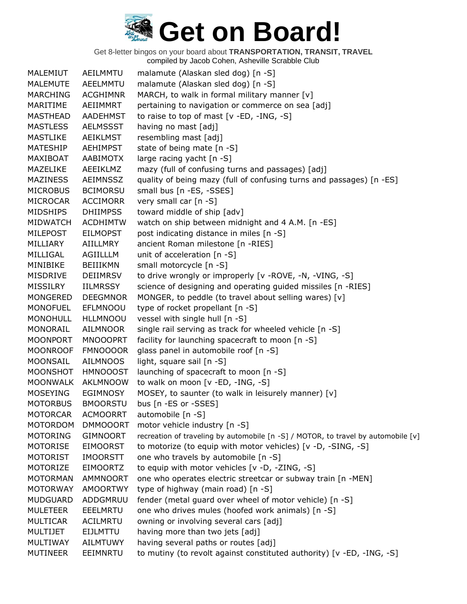| MALEMIUT        | AEILMMTU        | malamute (Alaskan sled dog) [n -S]                                                |
|-----------------|-----------------|-----------------------------------------------------------------------------------|
| <b>MALEMUTE</b> | AEELMMTU        | malamute (Alaskan sled dog) [n -S]                                                |
| <b>MARCHING</b> | <b>ACGHIMNR</b> | MARCH, to walk in formal military manner [v]                                      |
| MARITIME        | AEIIMMRT        | pertaining to navigation or commerce on sea [adj]                                 |
| <b>MASTHEAD</b> | <b>AADEHMST</b> | to raise to top of mast [v -ED, -ING, -S]                                         |
| <b>MASTLESS</b> | <b>AELMSSST</b> | having no mast [adj]                                                              |
| <b>MASTLIKE</b> | AEIKLMST        | resembling mast [adj]                                                             |
| <b>MATESHIP</b> | <b>AEHIMPST</b> | state of being mate [n -S]                                                        |
| MAXIBOAT        | AABIMOTX        | large racing yacht [n -S]                                                         |
| <b>MAZELIKE</b> | AEEIKLMZ        | mazy (full of confusing turns and passages) [adj]                                 |
| <b>MAZINESS</b> | <b>AEIMNSSZ</b> | quality of being mazy (full of confusing turns and passages) [n -ES]              |
| <b>MICROBUS</b> | <b>BCIMORSU</b> | small bus [n -ES, -SSES]                                                          |
| <b>MICROCAR</b> | <b>ACCIMORR</b> | very small car [n -S]                                                             |
| <b>MIDSHIPS</b> | <b>DHIIMPSS</b> | toward middle of ship [adv]                                                       |
| <b>MIDWATCH</b> | <b>ACDHIMTW</b> | watch on ship between midnight and 4 A.M. [n -ES]                                 |
| <b>MILEPOST</b> | <b>EILMOPST</b> | post indicating distance in miles [n -S]                                          |
| MILLIARY        | AIILLMRY        | ancient Roman milestone [n -RIES]                                                 |
| MILLIGAL        | AGIILLLM        | unit of acceleration [n -S]                                                       |
| MINIBIKE        | BEIIIKMN        | small motorcycle [n -S]                                                           |
| <b>MISDRIVE</b> | DEIIMRSV        | to drive wrongly or improperly [v -ROVE, -N, -VING, -S]                           |
| <b>MISSILRY</b> | <b>IILMRSSY</b> | science of designing and operating guided missiles [n -RIES]                      |
| <b>MONGERED</b> | <b>DEEGMNOR</b> | MONGER, to peddle (to travel about selling wares) [v]                             |
| <b>MONOFUEL</b> | EFLMNOOU        | type of rocket propellant [n -S]                                                  |
| <b>MONOHULL</b> | <b>HLLMNOOU</b> | vessel with single hull [n -S]                                                    |
| MONORAIL        | <b>AILMNOOR</b> | single rail serving as track for wheeled vehicle [n -S]                           |
| <b>MOONPORT</b> | <b>MNOOOPRT</b> | facility for launching spacecraft to moon [n -S]                                  |
| <b>MOONROOF</b> | <b>FMNOOOOR</b> | glass panel in automobile roof [n -S]                                             |
| MOONSAIL        | <b>AILMNOOS</b> | light, square sail [n -S]                                                         |
| <b>MOONSHOT</b> | <b>HMNOOOST</b> | launching of spacecraft to moon [n -S]                                            |
| <b>MOONWALK</b> | AKLMNOOW        | to walk on moon [v -ED, -ING, -S]                                                 |
| MOSEYING        | EGIMNOSY        | MOSEY, to saunter (to walk in leisurely manner) [v]                               |
| <b>MOTORBUS</b> | <b>BMOORSTU</b> | bus [n -ES or -SSES]                                                              |
| <b>MOTORCAR</b> | <b>ACMOORRT</b> | automobile [n -S]                                                                 |
| <b>MOTORDOM</b> | <b>DMMOOORT</b> | motor vehicle industry [n -S]                                                     |
| <b>MOTORING</b> | <b>GIMNOORT</b> | recreation of traveling by automobile [n -S] / MOTOR, to travel by automobile [v] |
| <b>MOTORISE</b> | <b>EIMOORST</b> | to motorize (to equip with motor vehicles) [v -D, -SING, -S]                      |
| <b>MOTORIST</b> | <b>IMOORSTT</b> | one who travels by automobile [n -S]                                              |
| <b>MOTORIZE</b> | <b>EIMOORTZ</b> | to equip with motor vehicles [v -D, -ZING, -S]                                    |
| <b>MOTORMAN</b> | <b>AMMNOORT</b> | one who operates electric streetcar or subway train [n -MEN]                      |
| <b>MOTORWAY</b> | <b>AMOORTWY</b> | type of highway (main road) [n -S]                                                |
| <b>MUDGUARD</b> | ADDGMRUU        | fender (metal guard over wheel of motor vehicle) [n -S]                           |
| <b>MULETEER</b> | <b>EEELMRTU</b> | one who drives mules (hoofed work animals) [n -S]                                 |
| <b>MULTICAR</b> | ACILMRTU        | owning or involving several cars [adj]                                            |
| <b>MULTIJET</b> | EIJLMTTU        | having more than two jets [adj]                                                   |
| MULTIWAY        | <b>AILMTUWY</b> | having several paths or routes [adj]                                              |
| <b>MUTINEER</b> | EEIMNRTU        | to mutiny (to revolt against constituted authority) [v -ED, -ING, -S]             |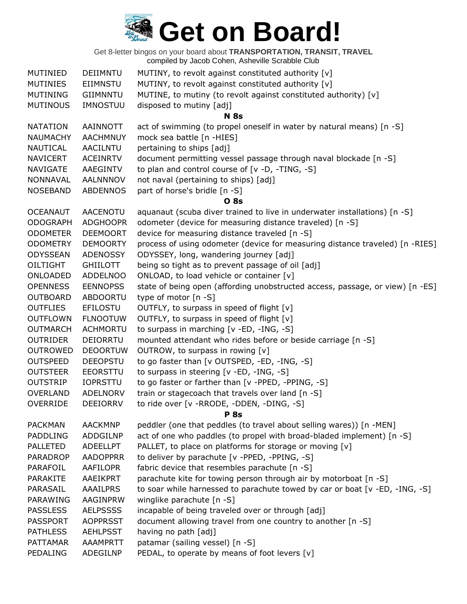| MUTINIED        | DEIIMNTU        | MUTINY, to revolt against constituted authority [v]                           |
|-----------------|-----------------|-------------------------------------------------------------------------------|
| <b>MUTINIES</b> | EIIMNSTU        | MUTINY, to revolt against constituted authority [v]                           |
| <b>MUTINING</b> | <b>GIIMNNTU</b> | MUTINE, to mutiny (to revolt against constituted authority) [v]               |
| <b>MUTINOUS</b> | <b>IMNOSTUU</b> | disposed to mutiny [adj]                                                      |
|                 |                 | <b>N</b> 8s                                                                   |
| <b>NATATION</b> | AAINNOTT        | act of swimming (to propel oneself in water by natural means) [n -S]          |
| <b>NAUMACHY</b> | <b>AACHMNUY</b> | mock sea battle [n -HIES]                                                     |
| <b>NAUTICAL</b> | AACILNTU        | pertaining to ships [adj]                                                     |
| <b>NAVICERT</b> | <b>ACEINRTV</b> | document permitting vessel passage through naval blockade [n -S]              |
| <b>NAVIGATE</b> | AAEGINTV        | to plan and control course of [v -D, -TING, -S]                               |
| <b>NONNAVAL</b> | <b>AALNNNOV</b> | not naval (pertaining to ships) [adj]                                         |
| <b>NOSEBAND</b> | <b>ABDENNOS</b> | part of horse's bridle [n -S]                                                 |
|                 |                 | <b>O</b> 8s                                                                   |
| <b>OCEANAUT</b> | <b>AACENOTU</b> | aquanaut (scuba diver trained to live in underwater installations) [n -S]     |
| <b>ODOGRAPH</b> | <b>ADGHOOPR</b> | odometer (device for measuring distance traveled) [n -S]                      |
| <b>ODOMETER</b> | <b>DEEMOORT</b> | device for measuring distance traveled [n -S]                                 |
| <b>ODOMETRY</b> | <b>DEMOORTY</b> | process of using odometer (device for measuring distance traveled) [n -RIES]  |
| <b>ODYSSEAN</b> | ADENOSSY        | ODYSSEY, long, wandering journey [adj]                                        |
| OILTIGHT        | <b>GHIILOTT</b> | being so tight as to prevent passage of oil [adj]                             |
| ONLOADED        | <b>ADDELNOO</b> | ONLOAD, to load vehicle or container [v]                                      |
| <b>OPENNESS</b> | <b>EENNOPSS</b> | state of being open (affording unobstructed access, passage, or view) [n -ES] |
| <b>OUTBOARD</b> | <b>ABDOORTU</b> | type of motor $[n - S]$                                                       |
| <b>OUTFLIES</b> | <b>EFILOSTU</b> | OUTFLY, to surpass in speed of flight [v]                                     |
| <b>OUTFLOWN</b> | <b>FLNOOTUW</b> | OUTFLY, to surpass in speed of flight [v]                                     |
| <b>OUTMARCH</b> | <b>ACHMORTU</b> | to surpass in marching [v -ED, -ING, -S]                                      |
| <b>OUTRIDER</b> | DEIORRTU        | mounted attendant who rides before or beside carriage [n -S]                  |
| <b>OUTROWED</b> | <b>DEOORTUW</b> | OUTROW, to surpass in rowing [v]                                              |
| <b>OUTSPEED</b> | <b>DEEOPSTU</b> | to go faster than [v OUTSPED, -ED, -ING, -S]                                  |
| <b>OUTSTEER</b> | <b>EEORSTTU</b> | to surpass in steering [v -ED, -ING, -S]                                      |
| <b>OUTSTRIP</b> | <b>IOPRSTTU</b> | to go faster or farther than [v -PPED, -PPING, -S]                            |
| <b>OVERLAND</b> | <b>ADELNORV</b> | train or stagecoach that travels over land [n -S]                             |
| <b>OVERRIDE</b> | <b>DEEIORRV</b> | to ride over [v - RRODE, - DDEN, - DING, -S]                                  |
|                 |                 | <b>P</b> 8s                                                                   |
| <b>PACKMAN</b>  | <b>AACKMNP</b>  | peddler (one that peddles (to travel about selling wares)) [n -MEN]           |
| <b>PADDLING</b> | ADDGILNP        | act of one who paddles (to propel with broad-bladed implement) [n -S]         |
| <b>PALLETED</b> | <b>ADEELLPT</b> | PALLET, to place on platforms for storage or moving [v]                       |
| <b>PARADROP</b> | <b>AADOPPRR</b> | to deliver by parachute [v -PPED, -PPING, -S]                                 |
| PARAFOIL        | <b>AAFILOPR</b> | fabric device that resembles parachute [n -S]                                 |
| <b>PARAKITE</b> | AAEIKPRT        | parachute kite for towing person through air by motorboat [n -S]              |
| PARASAIL        | <b>AAAILPRS</b> | to soar while harnessed to parachute towed by car or boat [v -ED, -ING, -S]   |
| <b>PARAWING</b> | AAGINPRW        | winglike parachute [n -S]                                                     |
| <b>PASSLESS</b> | <b>AELPSSSS</b> | incapable of being traveled over or through [adj]                             |
| <b>PASSPORT</b> | <b>AOPPRSST</b> | document allowing travel from one country to another [n -S]                   |
| <b>PATHLESS</b> | <b>AEHLPSST</b> | having no path [adj]                                                          |
| <b>PATTAMAR</b> | <b>AAAMPRTT</b> | patamar (sailing vessel) [n -S]                                               |
| PEDALING        | ADEGILNP        | PEDAL, to operate by means of foot levers [v]                                 |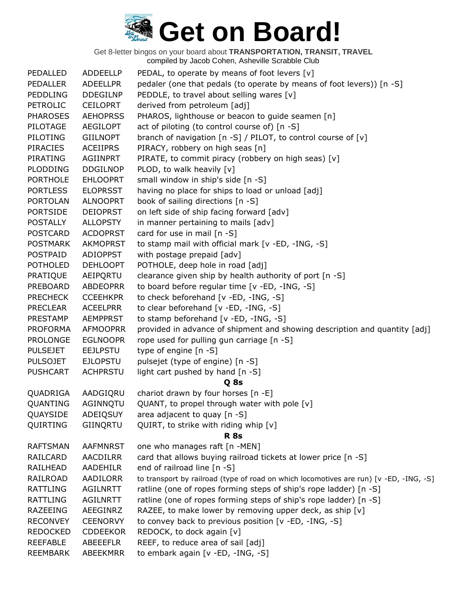| PEDALLED        | <b>ADDEELLP</b> | PEDAL, to operate by means of foot levers [v]                                          |
|-----------------|-----------------|----------------------------------------------------------------------------------------|
| <b>PEDALLER</b> | <b>ADEELLPR</b> | pedaler (one that pedals (to operate by means of foot levers)) [n -S]                  |
| <b>PEDDLING</b> | <b>DDEGILNP</b> | PEDDLE, to travel about selling wares [v]                                              |
| <b>PETROLIC</b> | <b>CEILOPRT</b> | derived from petroleum [adj]                                                           |
| <b>PHAROSES</b> | <b>AEHOPRSS</b> | PHAROS, lighthouse or beacon to guide seamen [n]                                       |
| PILOTAGE        | <b>AEGILOPT</b> | act of piloting (to control course of) [n -S]                                          |
| PILOTING        | <b>GIILNOPT</b> | branch of navigation $[n -S]$ / PILOT, to control course of $[v]$                      |
| <b>PIRACIES</b> | <b>ACEIIPRS</b> | PIRACY, robbery on high seas [n]                                                       |
| PIRATING        | AGIINPRT        | PIRATE, to commit piracy (robbery on high seas) [v]                                    |
| <b>PLODDING</b> | <b>DDGILNOP</b> | PLOD, to walk heavily [v]                                                              |
| <b>PORTHOLE</b> | <b>EHLOOPRT</b> | small window in ship's side [n -S]                                                     |
| <b>PORTLESS</b> | <b>ELOPRSST</b> | having no place for ships to load or unload [adj]                                      |
| <b>PORTOLAN</b> | <b>ALNOOPRT</b> | book of sailing directions [n -S]                                                      |
| <b>PORTSIDE</b> | <b>DEIOPRST</b> | on left side of ship facing forward [adv]                                              |
| <b>POSTALLY</b> | <b>ALLOPSTY</b> | in manner pertaining to mails [adv]                                                    |
| <b>POSTCARD</b> | <b>ACDOPRST</b> | card for use in mail [n -S]                                                            |
| <b>POSTMARK</b> | <b>AKMOPRST</b> | to stamp mail with official mark [v -ED, -ING, -S]                                     |
| <b>POSTPAID</b> | <b>ADIOPPST</b> | with postage prepaid [adv]                                                             |
| <b>POTHOLED</b> | <b>DEHLOOPT</b> | POTHOLE, deep hole in road [adj]                                                       |
| PRATIQUE        | AEIPQRTU        | clearance given ship by health authority of port [n -S]                                |
| <b>PREBOARD</b> | <b>ABDEOPRR</b> | to board before regular time [v -ED, -ING, -S]                                         |
| <b>PRECHECK</b> | <b>CCEEHKPR</b> | to check beforehand [v -ED, -ING, -S]                                                  |
| <b>PRECLEAR</b> | <b>ACEELPRR</b> | to clear beforehand [v -ED, -ING, -S]                                                  |
| <b>PRESTAMP</b> | <b>AEMPPRST</b> | to stamp beforehand [v -ED, -ING, -S]                                                  |
| <b>PROFORMA</b> | <b>AFMOOPRR</b> | provided in advance of shipment and showing description and quantity [adj]             |
| <b>PROLONGE</b> | <b>EGLNOOPR</b> | rope used for pulling gun carriage [n -S]                                              |
| <b>PULSEJET</b> | <b>EEJLPSTU</b> | type of engine [n -S]                                                                  |
| <b>PULSOJET</b> | <b>EJLOPSTU</b> | pulsejet (type of engine) [n -S]                                                       |
| <b>PUSHCART</b> | <b>ACHPRSTU</b> | light cart pushed by hand [n -S]                                                       |
|                 |                 | Q 8s                                                                                   |
| QUADRIGA        | AADGIQRU        | chariot drawn by four horses [n -E]                                                    |
| QUANTING        | AGINNQTU        | QUANT, to propel through water with pole [v]                                           |
| QUAYSIDE        | ADEIQSUY        | area adjacent to quay [n -S]                                                           |
| QUIRTING        | GIINQRTU        | QUIRT, to strike with riding whip [v]                                                  |
|                 |                 | <b>R</b> 8s                                                                            |
| <b>RAFTSMAN</b> | <b>AAFMNRST</b> | one who manages raft [n -MEN]                                                          |
| RAILCARD        | AACDILRR        | card that allows buying railroad tickets at lower price [n -S]                         |
| <b>RAILHEAD</b> | <b>AADEHILR</b> | end of railroad line [n -S]                                                            |
| RAILROAD        | AADILORR        | to transport by railroad (type of road on which locomotives are run) [v -ED, -ING, -S] |
| RATTLING        | AGILNRTT        | ratline (one of ropes forming steps of ship's rope ladder) [n -S]                      |
| RATTLING        | AGILNRTT        | ratline (one of ropes forming steps of ship's rope ladder) [n -S]                      |
| RAZEEING        | AEEGINRZ        | RAZEE, to make lower by removing upper deck, as ship [v]                               |
| <b>RECONVEY</b> | <b>CEENORVY</b> | to convey back to previous position [v -ED, -ING, -S]                                  |
| <b>REDOCKED</b> | <b>CDDEEKOR</b> | REDOCK, to dock again [v]                                                              |
| <b>REEFABLE</b> | <b>ABEEEFLR</b> | REEF, to reduce area of sail [adj]                                                     |
| <b>REEMBARK</b> | ABEEKMRR        | to embark again [v -ED, -ING, -S]                                                      |
|                 |                 |                                                                                        |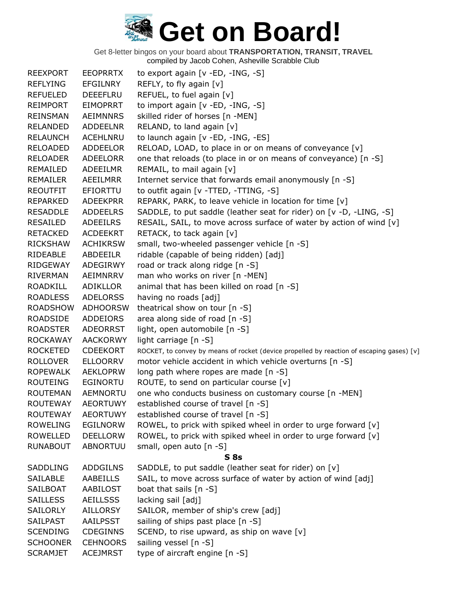| <b>REEXPORT</b> | <b>EEOPRRTX</b> | to export again [v -ED, -ING, -S]                                                         |
|-----------------|-----------------|-------------------------------------------------------------------------------------------|
| <b>REFLYING</b> | EFGILNRY        | REFLY, to fly again [v]                                                                   |
| <b>REFUELED</b> | <b>DEEEFLRU</b> | REFUEL, to fuel again [v]                                                                 |
| <b>REIMPORT</b> | <b>EIMOPRRT</b> | to import again [v -ED, -ING, -S]                                                         |
| <b>REINSMAN</b> | <b>AEIMNNRS</b> | skilled rider of horses [n -MEN]                                                          |
| RELANDED        | <b>ADDEELNR</b> | RELAND, to land again [v]                                                                 |
| <b>RELAUNCH</b> | ACEHLNRU        | to launch again [v - ED, - ING, - ES]                                                     |
| <b>RELOADED</b> | <b>ADDEELOR</b> | RELOAD, LOAD, to place in or on means of conveyance [v]                                   |
| <b>RELOADER</b> | ADEELORR        | one that reloads (to place in or on means of conveyance) [n -S]                           |
| REMAILED        | ADEEILMR        | REMAIL, to mail again [v]                                                                 |
| <b>REMAILER</b> | AEEILMRR        | Internet service that forwards email anonymously [n -S]                                   |
| <b>REOUTFIT</b> | EFIORTTU        | to outfit again $[v - TTED, -TTING, -S]$                                                  |
| <b>REPARKED</b> | <b>ADEEKPRR</b> | REPARK, PARK, to leave vehicle in location for time [v]                                   |
| <b>RESADDLE</b> | <b>ADDEELRS</b> | SADDLE, to put saddle (leather seat for rider) on [v -D, -LING, -S]                       |
| RESAILED        | ADEEILRS        | RESAIL, SAIL, to move across surface of water by action of wind [v]                       |
| <b>RETACKED</b> | <b>ACDEEKRT</b> | RETACK, to tack again [v]                                                                 |
| <b>RICKSHAW</b> | <b>ACHIKRSW</b> | small, two-wheeled passenger vehicle [n -S]                                               |
| RIDEABLE        | ABDEEILR        | ridable (capable of being ridden) [adj]                                                   |
| RIDGEWAY        | ADEGIRWY        | road or track along ridge [n -S]                                                          |
| <b>RIVERMAN</b> | AEIMNRRV        | man who works on river [n -MEN]                                                           |
| ROADKILL        | ADIKLLOR        | animal that has been killed on road [n -S]                                                |
| <b>ROADLESS</b> | <b>ADELORSS</b> | having no roads [adj]                                                                     |
| <b>ROADSHOW</b> | <b>ADHOORSW</b> | theatrical show on tour [n -S]                                                            |
| ROADSIDE        | ADDEIORS        | area along side of road [n -S]                                                            |
| <b>ROADSTER</b> | <b>ADEORRST</b> | light, open automobile [n -S]                                                             |
| <b>ROCKAWAY</b> | <b>AACKORWY</b> | light carriage [n -S]                                                                     |
| <b>ROCKETED</b> | <b>CDEEKORT</b> | ROCKET, to convey by means of rocket (device propelled by reaction of escaping gases) [v] |
| <b>ROLLOVER</b> | <b>ELLOORRV</b> | motor vehicle accident in which vehicle overturns [n -S]                                  |
| <b>ROPEWALK</b> | <b>AEKLOPRW</b> | long path where ropes are made [n -S]                                                     |
| ROUTEING        | EGINORTU        | ROUTE, to send on particular course $[v]$                                                 |
| <b>ROUTEMAN</b> | <b>AEMNORTU</b> | one who conducts business on customary course [n -MEN]                                    |
| <b>ROUTEWAY</b> | <b>AEORTUWY</b> | established course of travel [n -S]                                                       |
| <b>ROUTEWAY</b> | <b>AEORTUWY</b> | established course of travel [n -S]                                                       |
| <b>ROWELING</b> | EGILNORW        | ROWEL, to prick with spiked wheel in order to urge forward [v]                            |
| <b>ROWELLED</b> | <b>DEELLORW</b> | ROWEL, to prick with spiked wheel in order to urge forward [v]                            |
| <b>RUNABOUT</b> | ABNORTUU        | small, open auto [n -S]                                                                   |
|                 |                 | <b>S</b> 8s                                                                               |
| <b>SADDLING</b> | <b>ADDGILNS</b> | SADDLE, to put saddle (leather seat for rider) on [v]                                     |
| <b>SAILABLE</b> | AABEILLS        | SAIL, to move across surface of water by action of wind [adj]                             |
| <b>SAILBOAT</b> | AABILOST        | boat that sails [n -S]                                                                    |
| <b>SAILLESS</b> | <b>AEILLSSS</b> | lacking sail [adj]                                                                        |
| <b>SAILORLY</b> | <b>AILLORSY</b> | SAILOR, member of ship's crew [adj]                                                       |
| <b>SAILPAST</b> | AAILPSST        | sailing of ships past place [n -S]                                                        |
| <b>SCENDING</b> | <b>CDEGINNS</b> | SCEND, to rise upward, as ship on wave [v]                                                |
| <b>SCHOONER</b> | <b>CEHNOORS</b> | sailing vessel [n -S]                                                                     |
| <b>SCRAMJET</b> | <b>ACEJMRST</b> | type of aircraft engine [n -S]                                                            |
|                 |                 |                                                                                           |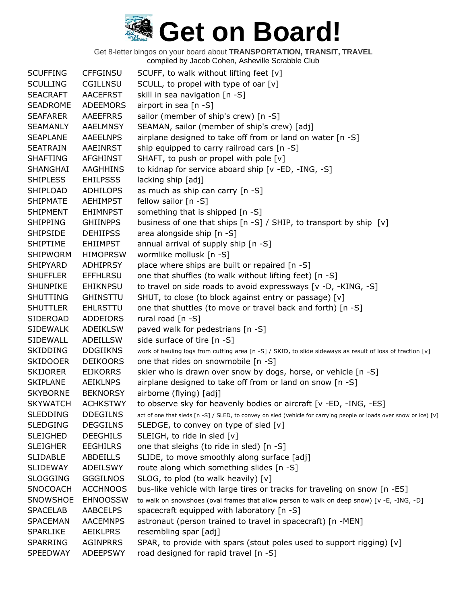| <b>SCUFFING</b> | <b>CFFGINSU</b> | SCUFF, to walk without lifting feet [v]                                                                            |
|-----------------|-----------------|--------------------------------------------------------------------------------------------------------------------|
| <b>SCULLING</b> | CGILLNSU        | SCULL, to propel with type of oar [v]                                                                              |
| <b>SEACRAFT</b> | <b>AACEFRST</b> | skill in sea navigation [n -S]                                                                                     |
| <b>SEADROME</b> | <b>ADEEMORS</b> | airport in sea [n -S]                                                                                              |
| <b>SEAFARER</b> | <b>AAEEFRRS</b> | sailor (member of ship's crew) [n -S]                                                                              |
| <b>SEAMANLY</b> | <b>AAELMNSY</b> | SEAMAN, sailor (member of ship's crew) [adj]                                                                       |
| <b>SEAPLANE</b> | <b>AAEELNPS</b> | airplane designed to take off from or land on water [n -S]                                                         |
| <b>SEATRAIN</b> | AAEINRST        | ship equipped to carry railroad cars [n -S]                                                                        |
| <b>SHAFTING</b> | AFGHINST        | SHAFT, to push or propel with pole [v]                                                                             |
| <b>SHANGHAI</b> | <b>AAGHHINS</b> | to kidnap for service aboard ship [v -ED, -ING, -S]                                                                |
| <b>SHIPLESS</b> | <b>EHILPSSS</b> | lacking ship [adj]                                                                                                 |
| SHIPLOAD        | <b>ADHILOPS</b> | as much as ship can carry [n -S]                                                                                   |
| <b>SHIPMATE</b> | <b>AEHIMPST</b> | fellow sailor $[n -S]$                                                                                             |
| <b>SHIPMENT</b> | <b>EHIMNPST</b> | something that is shipped [n -S]                                                                                   |
| <b>SHIPPING</b> | <b>GHIINPPS</b> | business of one that ships [n -S] / SHIP, to transport by ship [v]                                                 |
| <b>SHIPSIDE</b> | <b>DEHIIPSS</b> | area alongside ship [n -S]                                                                                         |
| <b>SHIPTIME</b> | <b>EHIIMPST</b> | annual arrival of supply ship [n -S]                                                                               |
| SHIPWORM        | <b>HIMOPRSW</b> | wormlike mollusk [n -S]                                                                                            |
| SHIPYARD        | ADHIPRSY        | place where ships are built or repaired [n -S]                                                                     |
| <b>SHUFFLER</b> | <b>EFFHLRSU</b> | one that shuffles (to walk without lifting feet) [n -S]                                                            |
| <b>SHUNPIKE</b> | <b>EHIKNPSU</b> | to travel on side roads to avoid expressways [v -D, -KING, -S]                                                     |
| <b>SHUTTING</b> | <b>GHINSTTU</b> | SHUT, to close (to block against entry or passage) [v]                                                             |
| <b>SHUTTLER</b> | <b>EHLRSTTU</b> | one that shuttles (to move or travel back and forth) [n -S]                                                        |
| <b>SIDEROAD</b> | <b>ADDEIORS</b> | rural road [n -S]                                                                                                  |
| <b>SIDEWALK</b> | <b>ADEIKLSW</b> | paved walk for pedestrians [n -S]                                                                                  |
| SIDEWALL        | ADEILLSW        | side surface of tire [n -S]                                                                                        |
| <b>SKIDDING</b> | <b>DDGIIKNS</b> | work of hauling logs from cutting area [n -S] / SKID, to slide sideways as result of loss of traction [v]          |
| <b>SKIDOOER</b> | <b>DEIKOORS</b> | one that rides on snowmobile [n -S]                                                                                |
| <b>SKIJORER</b> | <b>EIJKORRS</b> | skier who is drawn over snow by dogs, horse, or vehicle [n -S]                                                     |
| <b>SKIPLANE</b> | <b>AEIKLNPS</b> | airplane designed to take off from or land on snow [n -S]                                                          |
| <b>SKYBORNE</b> | <b>BEKNORSY</b> | airborne (flying) [adj]                                                                                            |
| <b>SKYWATCH</b> | <b>ACHKSTWY</b> | to observe sky for heavenly bodies or aircraft [v -ED, -ING, -ES]                                                  |
| <b>SLEDDING</b> | <b>DDEGILNS</b> | act of one that sleds [n -S] / SLED, to convey on sled (vehicle for carrying people or loads over snow or ice) [v] |
| <b>SLEDGING</b> | <b>DEGGILNS</b> | SLEDGE, to convey on type of sled $[v]$                                                                            |
| <b>SLEIGHED</b> | <b>DEEGHILS</b> | SLEIGH, to ride in sled [v]                                                                                        |
| <b>SLEIGHER</b> | <b>EEGHILRS</b> | one that sleighs (to ride in sled) [n -S]                                                                          |
| <b>SLIDABLE</b> | <b>ABDEILLS</b> | SLIDE, to move smoothly along surface [adj]                                                                        |
| <b>SLIDEWAY</b> | <b>ADEILSWY</b> | route along which something slides [n -S]                                                                          |
| <b>SLOGGING</b> | <b>GGGILNOS</b> | SLOG, to plod (to walk heavily) [v]                                                                                |
|                 |                 |                                                                                                                    |
| <b>SNOCOACH</b> | <b>ACCHNOOS</b> | bus-like vehicle with large tires or tracks for traveling on snow [n -ES]                                          |
| SNOWSHOE        | <b>EHNOOSSW</b> | to walk on snowshoes (oval frames that allow person to walk on deep snow) [v -E, -ING, -D]                         |
| <b>SPACELAB</b> | <b>AABCELPS</b> | spacecraft equipped with laboratory [n -S]                                                                         |
| <b>SPACEMAN</b> | <b>AACEMNPS</b> | astronaut (person trained to travel in spacecraft) [n -MEN]                                                        |
| <b>SPARLIKE</b> | <b>AEIKLPRS</b> | resembling spar [adj]                                                                                              |
| <b>SPARRING</b> | <b>AGINPRRS</b> | SPAR, to provide with spars (stout poles used to support rigging) [v]                                              |
| SPEEDWAY        | <b>ADEEPSWY</b> | road designed for rapid travel [n -S]                                                                              |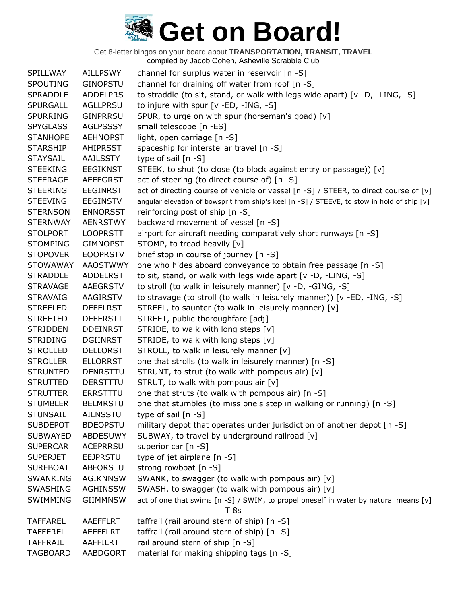| SPILLWAY        | <b>AILLPSWY</b> | channel for surplus water in reservoir [n -S]                                               |
|-----------------|-----------------|---------------------------------------------------------------------------------------------|
| <b>SPOUTING</b> | <b>GINOPSTU</b> | channel for draining off water from roof [n -S]                                             |
| <b>SPRADDLE</b> | <b>ADDELPRS</b> | to straddle (to sit, stand, or walk with legs wide apart) [v -D, -LING, -S]                 |
| <b>SPURGALL</b> | <b>AGLLPRSU</b> | to injure with spur $[v - ED, -ING, -S]$                                                    |
| <b>SPURRING</b> | <b>GINPRRSU</b> | SPUR, to urge on with spur (horseman's goad) [v]                                            |
| <b>SPYGLASS</b> | <b>AGLPSSSY</b> | small telescope [n -ES]                                                                     |
| <b>STANHOPE</b> | <b>AEHNOPST</b> | light, open carriage [n -S]                                                                 |
| <b>STARSHIP</b> | <b>AHIPRSST</b> | spaceship for interstellar travel [n -S]                                                    |
| <b>STAYSAIL</b> | AAILSSTY        | type of sail $[n -S]$                                                                       |
| <b>STEEKING</b> | <b>EEGIKNST</b> | STEEK, to shut (to close (to block against entry or passage)) [v]                           |
| <b>STEERAGE</b> | <b>AEEEGRST</b> | act of steering (to direct course of) [n -S]                                                |
| <b>STEERING</b> | <b>EEGINRST</b> | act of directing course of vehicle or vessel [n -S] / STEER, to direct course of [v]        |
| <b>STEEVING</b> | <b>EEGINSTV</b> | angular elevation of bowsprit from ship's keel [n -S] / STEEVE, to stow in hold of ship [v] |
| <b>STERNSON</b> | <b>ENNORSST</b> | reinforcing post of ship [n -S]                                                             |
| <b>STERNWAY</b> | AENRSTWY        | backward movement of vessel [n -S]                                                          |
| <b>STOLPORT</b> | <b>LOOPRSTT</b> | airport for aircraft needing comparatively short runways [n -S]                             |
| <b>STOMPING</b> | <b>GIMNOPST</b> | STOMP, to tread heavily [v]                                                                 |
| <b>STOPOVER</b> | <b>EOOPRSTV</b> | brief stop in course of journey [n -S]                                                      |
| <b>STOWAWAY</b> | <b>AAOSTWWY</b> | one who hides aboard conveyance to obtain free passage [n -S]                               |
| <b>STRADDLE</b> | <b>ADDELRST</b> | to sit, stand, or walk with legs wide apart [v -D, -LING, -S]                               |
| <b>STRAVAGE</b> | <b>AAEGRSTV</b> | to stroll (to walk in leisurely manner) [v -D, -GING, -S]                                   |
| <b>STRAVAIG</b> | AAGIRSTV        | to stravage (to stroll (to walk in leisurely manner)) [v -ED, -ING, -S]                     |
| <b>STREELED</b> | <b>DEEELRST</b> | STREEL, to saunter (to walk in leisurely manner) [v]                                        |
| <b>STREETED</b> | <b>DEEERSTT</b> | STREET, public thoroughfare [adj]                                                           |
| <b>STRIDDEN</b> | <b>DDEINRST</b> | STRIDE, to walk with long steps [v]                                                         |
| <b>STRIDING</b> | <b>DGIINRST</b> | STRIDE, to walk with long steps [v]                                                         |
| <b>STROLLED</b> | <b>DELLORST</b> | STROLL, to walk in leisurely manner [v]                                                     |
| <b>STROLLER</b> | <b>ELLORRST</b> | one that strolls (to walk in leisurely manner) [n -S]                                       |
| <b>STRUNTED</b> | <b>DENRSTTU</b> | STRUNT, to strut (to walk with pompous air) [v]                                             |
| <b>STRUTTED</b> | <b>DERSTTTU</b> | STRUT, to walk with pompous air [v]                                                         |
| <b>STRUTTER</b> | <b>ERRSTTTU</b> | one that struts (to walk with pompous air) [n -S]                                           |
| <b>STUMBLER</b> | <b>BELMRSTU</b> | one that stumbles (to miss one's step in walking or running) [n -S]                         |
| <b>STUNSAIL</b> | AILNSSTU        | type of sail $[n -S]$                                                                       |
| <b>SUBDEPOT</b> | <b>BDEOPSTU</b> | military depot that operates under jurisdiction of another depot [n -S]                     |
| <b>SUBWAYED</b> | <b>ABDESUWY</b> | SUBWAY, to travel by underground railroad [v]                                               |
| <b>SUPERCAR</b> | <b>ACEPRRSU</b> | superior car [n -S]                                                                         |
| <b>SUPERJET</b> | <b>EEJPRSTU</b> | type of jet airplane [n -S]                                                                 |
| <b>SURFBOAT</b> | <b>ABFORSTU</b> | strong rowboat [n -S]                                                                       |
| SWANKING        | <b>AGIKNNSW</b> | SWANK, to swagger (to walk with pompous air) [v]                                            |
| <b>SWASHING</b> | <b>AGHINSSW</b> | SWASH, to swagger (to walk with pompous air) [v]                                            |
| SWIMMING        | <b>GIIMMNSW</b> | act of one that swims [n -S] / SWIM, to propel oneself in water by natural means [v]        |
|                 |                 | T8s                                                                                         |
| TAFFAREL        | AAEFFLRT        | taffrail (rail around stern of ship) [n -S]                                                 |
| <b>TAFFEREL</b> | <b>AEEFFLRT</b> | taffrail (rail around stern of ship) [n -S]                                                 |
| <b>TAFFRAIL</b> | AAFFILRT        | rail around stern of ship [n -S]                                                            |
| <b>TAGBOARD</b> | AABDGORT        | material for making shipping tags [n -S]                                                    |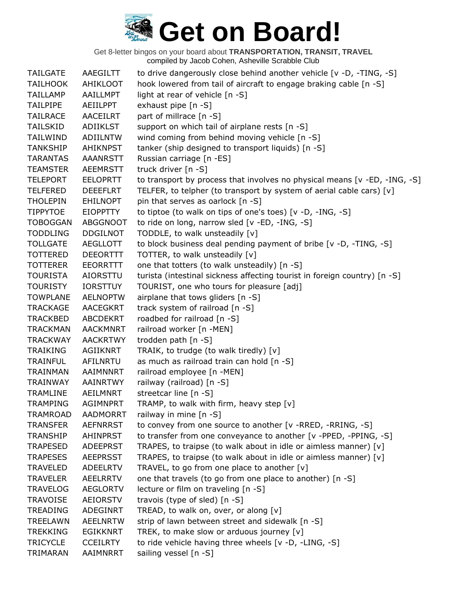| <b>TAILGATE</b> | AAEGILTT        | to drive dangerously close behind another vehicle [v -D, -TING, -S]          |
|-----------------|-----------------|------------------------------------------------------------------------------|
| <b>TAILHOOK</b> | AHIKLOOT        | hook lowered from tail of aircraft to engage braking cable [n -S]            |
| <b>TAILLAMP</b> | AAILLMPT        | light at rear of vehicle [n -S]                                              |
| <b>TAILPIPE</b> | <b>AEIILPPT</b> | exhaust pipe [n -S]                                                          |
| <b>TAILRACE</b> | AACEILRT        | part of millrace [n -S]                                                      |
| <b>TAILSKID</b> | <b>ADIIKLST</b> | support on which tail of airplane rests [n -S]                               |
| TAILWIND        | <b>ADIILNTW</b> | wind coming from behind moving vehicle [n -S]                                |
| <b>TANKSHIP</b> | <b>AHIKNPST</b> | tanker (ship designed to transport liquids) [n -S]                           |
| <b>TARANTAS</b> | <b>AAANRSTT</b> | Russian carriage [n -ES]                                                     |
| <b>TEAMSTER</b> | <b>AEEMRSTT</b> | truck driver $[n - S]$                                                       |
| <b>TELEPORT</b> | <b>EELOPRTT</b> | to transport by process that involves no physical means $[v - ED, -ING, -S]$ |
| <b>TELFERED</b> | <b>DEEEFLRT</b> | TELFER, to telpher (to transport by system of aerial cable cars) [v]         |
| <b>THOLEPIN</b> | EHILNOPT        | pin that serves as oarlock [n -S]                                            |
| <b>TIPPYTOE</b> | <b>EIOPPTTY</b> | to tiptoe (to walk on tips of one's toes) [v -D, -ING, -S]                   |
| <b>TOBOGGAN</b> | <b>ABGGNOOT</b> | to ride on long, narrow sled [v -ED, -ING, -S]                               |
| <b>TODDLING</b> | <b>DDGILNOT</b> | TODDLE, to walk unsteadily [v]                                               |
| <b>TOLLGATE</b> | AEGLLOTT        | to block business deal pending payment of bribe [v -D, -TING, -S]            |
| <b>TOTTERED</b> | <b>DEEORTTT</b> | TOTTER, to walk unsteadily [v]                                               |
| <b>TOTTERER</b> | EEORRTTT        | one that totters (to walk unsteadily) [n -S]                                 |
| <b>TOURISTA</b> | AIORSTTU        | turista (intestinal sickness affecting tourist in foreign country) [n -S]    |
| <b>TOURISTY</b> | <b>IORSTTUY</b> | TOURIST, one who tours for pleasure [adj]                                    |
| <b>TOWPLANE</b> | <b>AELNOPTW</b> | airplane that tows gliders [n -S]                                            |
| <b>TRACKAGE</b> | <b>AACEGKRT</b> | track system of railroad [n -S]                                              |
| <b>TRACKBED</b> | <b>ABCDEKRT</b> | roadbed for railroad [n -S]                                                  |
| <b>TRACKMAN</b> | <b>AACKMNRT</b> | railroad worker [n -MEN]                                                     |
| <b>TRACKWAY</b> | <b>AACKRTWY</b> | trodden path [n -S]                                                          |
| <b>TRAIKING</b> | <b>AGIIKNRT</b> | TRAIK, to trudge (to walk tiredly) [v]                                       |
| <b>TRAINFUL</b> | AFILNRTU        | as much as railroad train can hold [n -S]                                    |
| TRAINMAN        | AAIMNNRT        | railroad employee [n -MEN]                                                   |
| TRAINWAY        | AAINRTWY        | railway (railroad) [n -S]                                                    |
| <b>TRAMLINE</b> | AEILMNRT        | streetcar line [n -S]                                                        |
| <b>TRAMPING</b> | <b>AGIMNPRT</b> | TRAMP, to walk with firm, heavy step [v]                                     |
| <b>TRAMROAD</b> | <b>AADMORRT</b> | railway in mine $[n - S]$                                                    |
| <b>TRANSFER</b> | <b>AEFNRRST</b> | to convey from one source to another [v -RRED, -RRING, -S]                   |
| <b>TRANSHIP</b> | AHINPRST        | to transfer from one conveyance to another [v -PPED, -PPING, -S]             |
| <b>TRAPESED</b> | <b>ADEEPRST</b> | TRAPES, to traipse (to walk about in idle or aimless manner) [v]             |
| <b>TRAPESES</b> | <b>AEEPRSST</b> | TRAPES, to traipse (to walk about in idle or aimless manner) [v]             |
| <b>TRAVELED</b> | <b>ADEELRTV</b> | TRAVEL, to go from one place to another [v]                                  |
| <b>TRAVELER</b> | AEELRRTV        | one that travels (to go from one place to another) [n -S]                    |
| <b>TRAVELOG</b> | <b>AEGLORTV</b> | lecture or film on traveling [n -S]                                          |
| <b>TRAVOISE</b> | AEIORSTV        | travois (type of sled) [n -S]                                                |
| <b>TREADING</b> | ADEGINRT        | TREAD, to walk on, over, or along [v]                                        |
| TREELAWN        | <b>AEELNRTW</b> | strip of lawn between street and sidewalk [n -S]                             |
| <b>TREKKING</b> | <b>EGIKKNRT</b> | TREK, to make slow or arduous journey [v]                                    |
| <b>TRICYCLE</b> | <b>CCEILRTY</b> | to ride vehicle having three wheels [v -D, -LING, -S]                        |
| TRIMARAN        | AAIMNRRT        | sailing vessel [n -S]                                                        |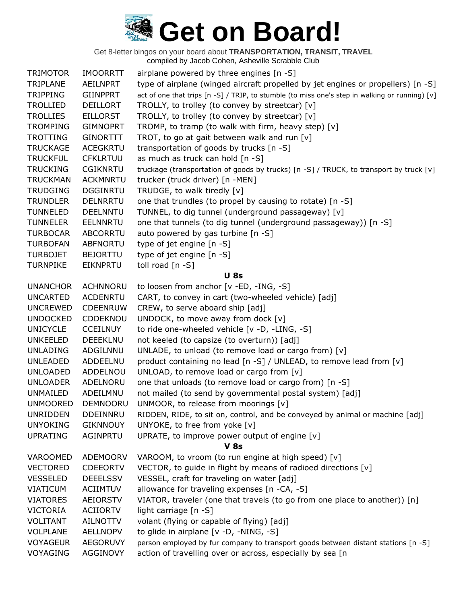| <b>TRIMOTOR</b> | <b>IMOORRTT</b> | airplane powered by three engines [n -S]                                                       |  |  |
|-----------------|-----------------|------------------------------------------------------------------------------------------------|--|--|
| TRIPLANE        | <b>AEILNPRT</b> | type of airplane (winged aircraft propelled by jet engines or propellers) [n -S]               |  |  |
| <b>TRIPPING</b> | <b>GIINPPRT</b> | act of one that trips [n -S] / TRIP, to stumble (to miss one's step in walking or running) [v] |  |  |
| <b>TROLLIED</b> | DEILLORT        | TROLLY, to trolley (to convey by streetcar) [v]                                                |  |  |
| <b>TROLLIES</b> | <b>EILLORST</b> | TROLLY, to trolley (to convey by streetcar) [v]                                                |  |  |
| <b>TROMPING</b> | <b>GIMNOPRT</b> | TROMP, to tramp (to walk with firm, heavy step) [v]                                            |  |  |
| <b>TROTTING</b> | <b>GINORTTT</b> | TROT, to go at gait between walk and run [v]                                                   |  |  |
| <b>TRUCKAGE</b> | <b>ACEGKRTU</b> | transportation of goods by trucks [n -S]                                                       |  |  |
| <b>TRUCKFUL</b> | <b>CFKLRTUU</b> | as much as truck can hold [n -S]                                                               |  |  |
| <b>TRUCKING</b> | <b>CGIKNRTU</b> | truckage (transportation of goods by trucks) [n -S] / TRUCK, to transport by truck [v]         |  |  |
| <b>TRUCKMAN</b> | <b>ACKMNRTU</b> | trucker (truck driver) [n -MEN]                                                                |  |  |
| <b>TRUDGING</b> | <b>DGGINRTU</b> | TRUDGE, to walk tiredly [v]                                                                    |  |  |
| <b>TRUNDLER</b> | <b>DELNRRTU</b> | one that trundles (to propel by causing to rotate) [n -S]                                      |  |  |
| TUNNELED        | <b>DEELNNTU</b> | TUNNEL, to dig tunnel (underground passageway) [v]                                             |  |  |
| <b>TUNNELER</b> | <b>EELNNRTU</b> | one that tunnels (to dig tunnel (underground passageway)) [n -S]                               |  |  |
| <b>TURBOCAR</b> | <b>ABCORRTU</b> | auto powered by gas turbine [n -S]                                                             |  |  |
| <b>TURBOFAN</b> | <b>ABFNORTU</b> | type of jet engine [n -S]                                                                      |  |  |
| <b>TURBOJET</b> | <b>BEJORTTU</b> | type of jet engine [n -S]                                                                      |  |  |
| <b>TURNPIKE</b> | <b>EIKNPRTU</b> | toll road [n -S]                                                                               |  |  |
|                 |                 | <b>U</b> 8s                                                                                    |  |  |
| <b>UNANCHOR</b> | ACHNNORU        | to loosen from anchor [v -ED, -ING, -S]                                                        |  |  |
| <b>UNCARTED</b> | <b>ACDENRTU</b> | CART, to convey in cart (two-wheeled vehicle) [adj]                                            |  |  |
| <b>UNCREWED</b> | <b>CDEENRUW</b> | CREW, to serve aboard ship [adj]                                                               |  |  |
| <b>UNDOCKED</b> | CDDEKNOU        | UNDOCK, to move away from dock [v]                                                             |  |  |
| <b>UNICYCLE</b> | <b>CCEILNUY</b> | to ride one-wheeled vehicle [v -D, -LING, -S]                                                  |  |  |
| <b>UNKEELED</b> | DEEEKLNU        | not keeled (to capsize (to overturn)) [adj]                                                    |  |  |
| <b>UNLADING</b> | ADGILNNU        | UNLADE, to unload (to remove load or cargo from) [v]                                           |  |  |
| <b>UNLEADED</b> | ADDEELNU        | product containing no lead [n -S] / UNLEAD, to remove lead from [v]                            |  |  |
| <b>UNLOADED</b> | ADDELNOU        | UNLOAD, to remove load or cargo from [v]                                                       |  |  |
| <b>UNLOADER</b> | ADELNORU        | one that unloads (to remove load or cargo from) [n -S]                                         |  |  |
| <b>UNMAILED</b> | ADEILMNU        | not mailed (to send by governmental postal system) [adj]                                       |  |  |
| <b>UNMOORED</b> | DEMNOORU        | UNMOOR, to release from moorings [v]                                                           |  |  |
| <b>UNRIDDEN</b> | DDEINNRU        | RIDDEN, RIDE, to sit on, control, and be conveyed by animal or machine [adj]                   |  |  |
| <b>UNYOKING</b> | <b>GIKNNOUY</b> | UNYOKE, to free from yoke [v]                                                                  |  |  |
| <b>UPRATING</b> | AGINPRTU        | UPRATE, to improve power output of engine [v]                                                  |  |  |
| $V$ 8s          |                 |                                                                                                |  |  |
| VAROOMED        | <b>ADEMOORV</b> | VAROOM, to vroom (to run engine at high speed) [v]                                             |  |  |
| <b>VECTORED</b> | <b>CDEEORTV</b> | VECTOR, to guide in flight by means of radioed directions [v]                                  |  |  |
| <b>VESSELED</b> | <b>DEEELSSV</b> | VESSEL, craft for traveling on water [adj]                                                     |  |  |
| <b>VIATICUM</b> | <b>ACIIMTUV</b> | allowance for traveling expenses [n -CA, -S]                                                   |  |  |
| <b>VIATORES</b> | <b>AEIORSTV</b> | VIATOR, traveler (one that travels (to go from one place to another)) [n]                      |  |  |
| <b>VICTORIA</b> | <b>ACIIORTV</b> | light carriage $[n -S]$                                                                        |  |  |
| <b>VOLITANT</b> | <b>AILNOTTV</b> | volant (flying or capable of flying) [adj]                                                     |  |  |
| <b>VOLPLANE</b> | <b>AELLNOPV</b> | to glide in airplane [v -D, -NING, -S]                                                         |  |  |
| <b>VOYAGEUR</b> | <b>AEGORUVY</b> | person employed by fur company to transport goods between distant stations [n -S]              |  |  |
| VOYAGING        | AGGINOVY        | action of travelling over or across, especially by sea [n]                                     |  |  |
|                 |                 |                                                                                                |  |  |